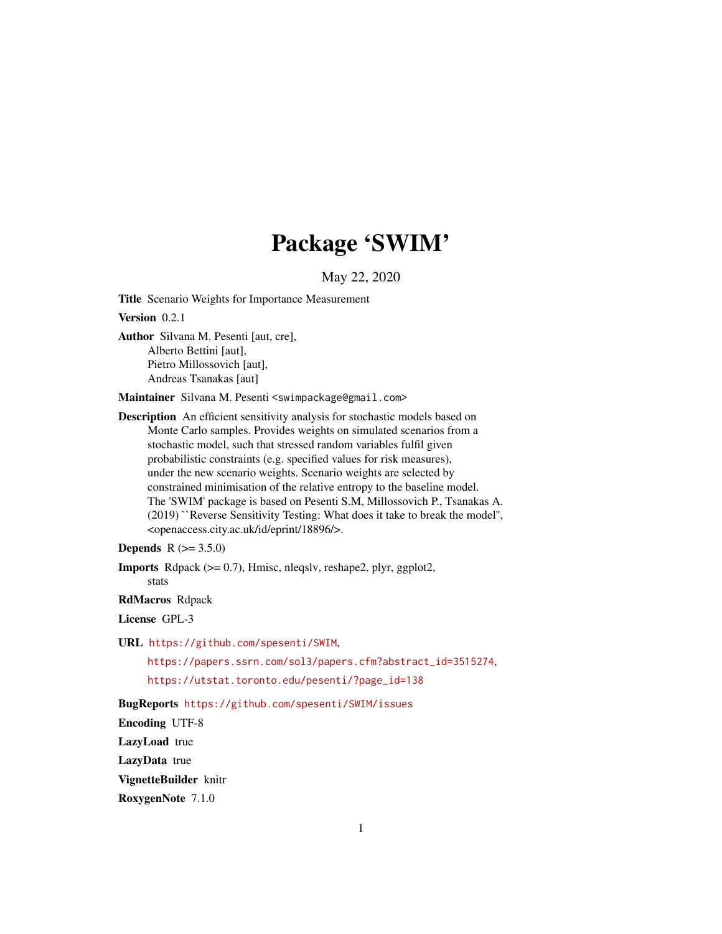# Package 'SWIM'

May 22, 2020

<span id="page-0-0"></span>Title Scenario Weights for Importance Measurement

Version 0.2.1

Author Silvana M. Pesenti [aut, cre], Alberto Bettini [aut], Pietro Millossovich [aut], Andreas Tsanakas [aut]

Maintainer Silvana M. Pesenti <swimpackage@gmail.com>

Description An efficient sensitivity analysis for stochastic models based on Monte Carlo samples. Provides weights on simulated scenarios from a stochastic model, such that stressed random variables fulfil given probabilistic constraints (e.g. specified values for risk measures), under the new scenario weights. Scenario weights are selected by constrained minimisation of the relative entropy to the baseline model. The 'SWIM' package is based on Pesenti S.M, Millossovich P., Tsanakas A. (2019) ``Reverse Sensitivity Testing: What does it take to break the model'', <openaccess.city.ac.uk/id/eprint/18896/>.

```
Depends R (= 3.5.0)
```
Imports Rdpack (>= 0.7), Hmisc, nleqslv, reshape2, plyr, ggplot2,

stats

RdMacros Rdpack

License GPL-3

URL <https://github.com/spesenti/SWIM>,

[https://papers.ssrn.com/sol3/papers.cfm?abstract\\_id=3515274](https://papers.ssrn.com/sol3/papers.cfm?abstract_id=3515274),

[https://utstat.toronto.edu/pesenti/?page\\_id=138](https://utstat.toronto.edu/pesenti/?page_id=138)

BugReports <https://github.com/spesenti/SWIM/issues>

Encoding UTF-8

LazyLoad true

LazyData true

VignetteBuilder knitr

RoxygenNote 7.1.0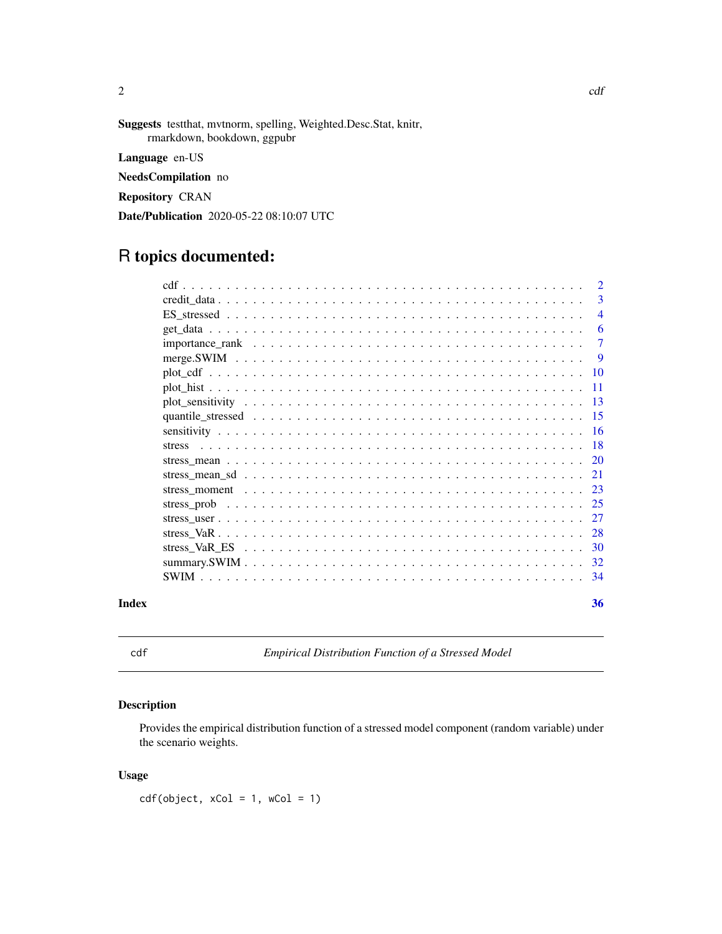<span id="page-1-0"></span>Suggests testthat, mvtnorm, spelling, Weighted.Desc.Stat, knitr, rmarkdown, bookdown, ggpubr Language en-US NeedsCompilation no Repository CRAN Date/Publication 2020-05-22 08:10:07 UTC

# R topics documented:

| Index | 36              |
|-------|-----------------|
|       |                 |
|       |                 |
|       |                 |
|       |                 |
|       |                 |
|       |                 |
|       |                 |
|       |                 |
|       |                 |
|       |                 |
|       |                 |
|       |                 |
|       |                 |
|       | -11             |
|       | $\overline{10}$ |
|       | -9              |
|       | $\overline{7}$  |
|       | 6               |
|       | $\overline{4}$  |
|       | 3               |
|       | $\overline{2}$  |

<span id="page-1-1"></span>

cdf *Empirical Distribution Function of a Stressed Model*

# Description

Provides the empirical distribution function of a stressed model component (random variable) under the scenario weights.

# Usage

 $cdf(object, xCol = 1, wCol = 1)$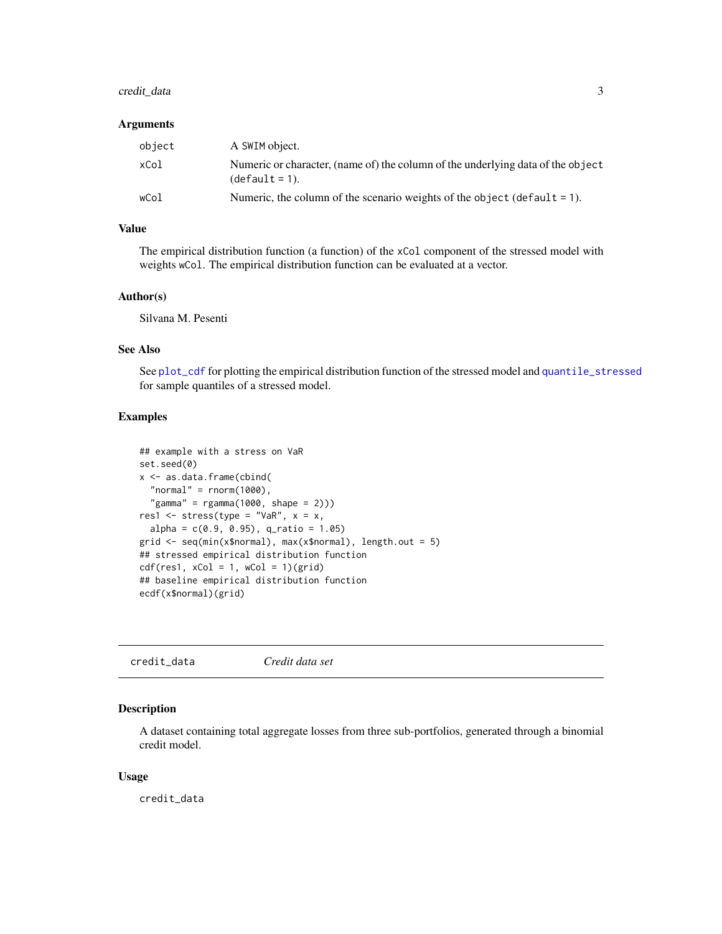# <span id="page-2-0"></span>credit\_data 3

#### Arguments

| object | A SWIM object.                                                                                      |
|--------|-----------------------------------------------------------------------------------------------------|
| xCol   | Numeric or character, (name of) the column of the underlying data of the object<br>$(detault = 1).$ |
| wCol   | Numeric, the column of the scenario weights of the object (default $= 1$ ).                         |

# Value

The empirical distribution function (a function) of the xCol component of the stressed model with weights wCol. The empirical distribution function can be evaluated at a vector.

#### Author(s)

Silvana M. Pesenti

## See Also

See [plot\\_cdf](#page-9-1) for plotting the empirical distribution function of the stressed model and [quantile\\_stressed](#page-14-1) for sample quantiles of a stressed model.

#### Examples

```
## example with a stress on VaR
set.seed(0)
x <- as.data.frame(cbind(
  "normal" = rnorm(1000),
  "gamma" = rgamma(1000, shape = 2)))res1 <- stress(type = "VaR", x = x,
  alpha = c(0.9, 0.95), q_ratio = 1.05)
grid \leq seq(min(x$normal), max(x$normal), length.out = 5)
## stressed empirical distribution function
cdf(res1, xCol = 1, wCol = 1)(grid)## baseline empirical distribution function
ecdf(x$normal)(grid)
```

| credit_data | Credit data set |  |
|-------------|-----------------|--|
|-------------|-----------------|--|

#### Description

A dataset containing total aggregate losses from three sub-portfolios, generated through a binomial credit model.

#### Usage

credit\_data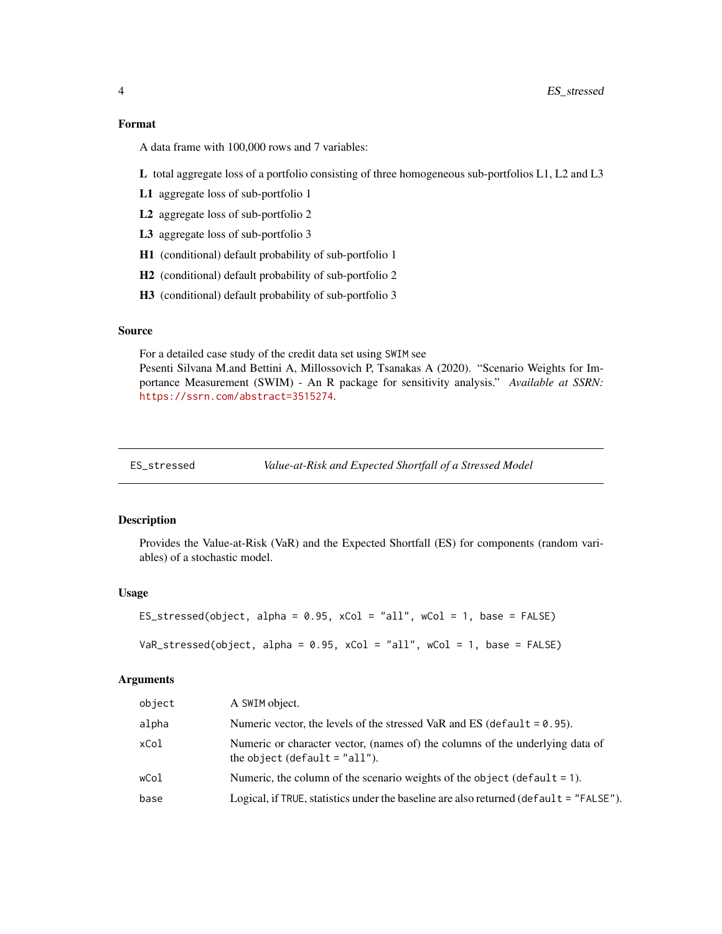# <span id="page-3-0"></span>Format

A data frame with 100,000 rows and 7 variables:

L total aggregate loss of a portfolio consisting of three homogeneous sub-portfolios L1, L2 and L3

- L1 aggregate loss of sub-portfolio 1
- L2 aggregate loss of sub-portfolio 2
- L3 aggregate loss of sub-portfolio 3
- H1 (conditional) default probability of sub-portfolio 1
- H2 (conditional) default probability of sub-portfolio 2
- H3 (conditional) default probability of sub-portfolio 3

#### Source

For a detailed case study of the credit data set using SWIM see

Pesenti Silvana M.and Bettini A, Millossovich P, Tsanakas A (2020). "Scenario Weights for Importance Measurement (SWIM) - An R package for sensitivity analysis." *Available at SSRN:* <https://ssrn.com/abstract=3515274>.

ES\_stressed *Value-at-Risk and Expected Shortfall of a Stressed Model*

#### **Description**

Provides the Value-at-Risk (VaR) and the Expected Shortfall (ES) for components (random variables) of a stochastic model.

#### Usage

ES\_stressed(object, alpha =  $0.95$ , xCol = "all", wCol = 1, base = FALSE)

 $VaR_s$ tressed(object, alpha = 0.95, xCol = "all", wCol = 1, base = FALSE)

# Arguments

| object | A SWIM object.                                                                                                   |
|--------|------------------------------------------------------------------------------------------------------------------|
| alpha  | Numeric vector, the levels of the stressed VaR and ES (default $= 0.95$ ).                                       |
| xCol   | Numeric or character vector, (names of) the columns of the underlying data of<br>the object (default $=$ "all"). |
| wCol   | Numeric, the column of the scenario weights of the object (default $= 1$ ).                                      |
| base   | Logical, if TRUE, statistics under the baseline are also returned (default = "FALSE").                           |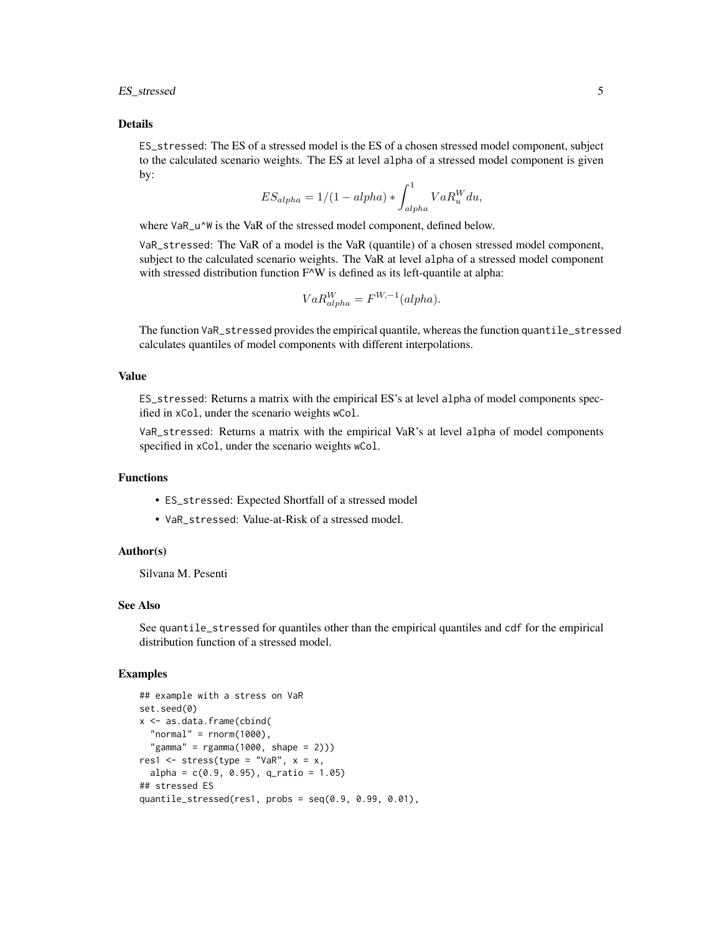ES\_stressed 5

#### Details

ES\_stressed: The ES of a stressed model is the ES of a chosen stressed model component, subject to the calculated scenario weights. The ES at level alpha of a stressed model component is given by:

$$
ES_{alpha} = 1/(1 - alpha) * \int_{alpha}^{1} VaR_u^W du,
$$

where VaR\_u^W is the VaR of the stressed model component, defined below.

VaR\_stressed: The VaR of a model is the VaR (quantile) of a chosen stressed model component, subject to the calculated scenario weights. The VaR at level alpha of a stressed model component with stressed distribution function F^W is defined as its left-quantile at alpha:

$$
VaR_{alpha}^{W} = F^{W, -1}(alpha).
$$

The function VaR\_stressed provides the empirical quantile, whereas the function quantile\_stressed calculates quantiles of model components with different interpolations.

#### Value

ES\_stressed: Returns a matrix with the empirical ES's at level alpha of model components specified in xCol, under the scenario weights wCol.

VaR\_stressed: Returns a matrix with the empirical VaR's at level alpha of model components specified in xCol, under the scenario weights wCol.

# Functions

- ES\_stressed: Expected Shortfall of a stressed model
- VaR\_stressed: Value-at-Risk of a stressed model.

# Author(s)

Silvana M. Pesenti

# See Also

See quantile\_stressed for quantiles other than the empirical quantiles and cdf for the empirical distribution function of a stressed model.

#### Examples

```
## example with a stress on VaR
set.seed(0)
x <- as.data.frame(cbind(
 "normal" = rnorm(1000),
  "gamma" = rgamma(1000, shape = 2)))res1 \le stress(type = "VaR", x = x,
 alpha = c(0.9, 0.95), q_ratio = 1.05)
## stressed ES
quantile_stressed(res1, probs = seq(0.9, 0.99, 0.01),
```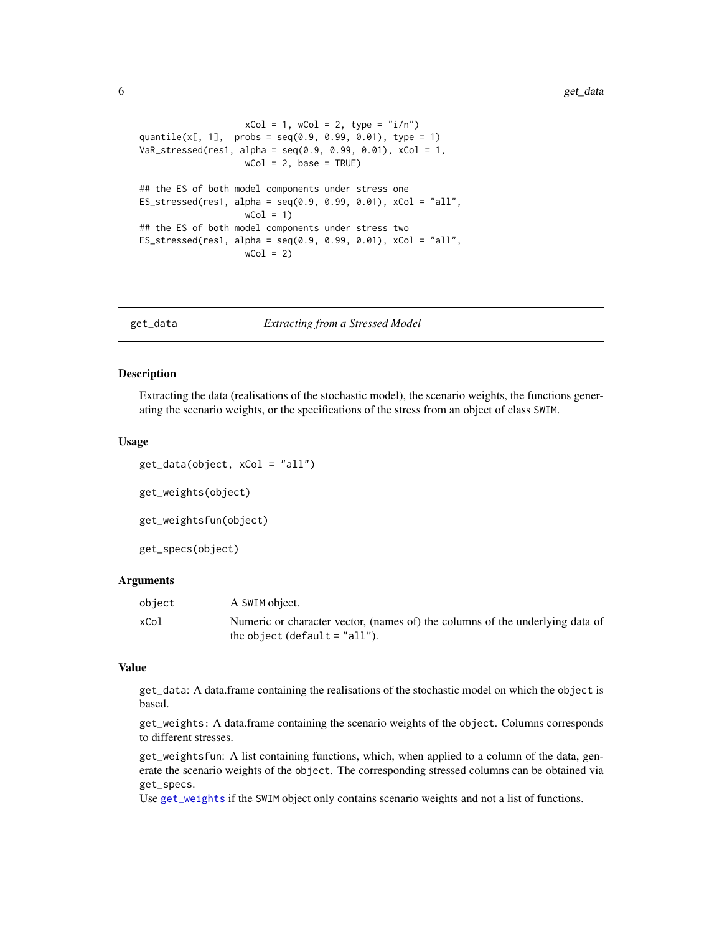```
xCol = 1, wCol = 2, type = "i/n")
quantile(x[, 1], probs = seq(0.9, 0.99, 0.01), type = 1)
VaR_stressed(res1, alpha = seq(0.9, 0.99, 0.01), xCol = 1,
                   wCol = 2, base = TRUE)
## the ES of both model components under stress one
ES\_stressed(res1, alpha = seq(0.9, 0.99, 0.01), xCol = "all",wCol = 1## the ES of both model components under stress two
ES\_stressed(res1, alpha = seq(0.9, 0.99, 0.01), xCol = "all",wCol = 2)
```
<span id="page-5-2"></span>

get\_data *Extracting from a Stressed Model*

#### <span id="page-5-1"></span>Description

Extracting the data (realisations of the stochastic model), the scenario weights, the functions generating the scenario weights, or the specifications of the stress from an object of class SWIM.

#### Usage

get\_data(object, xCol = "all") get\_weights(object) get\_weightsfun(object) get\_specs(object)

#### Arguments

| object | A SWIM object.                                                                |
|--------|-------------------------------------------------------------------------------|
| xCol   | Numeric or character vector, (names of) the columns of the underlying data of |
|        | the object (default $=$ "all").                                               |

# Value

get\_data: A data.frame containing the realisations of the stochastic model on which the object is based.

get\_weights: A data.frame containing the scenario weights of the object. Columns corresponds to different stresses.

get\_weightsfun: A list containing functions, which, when applied to a column of the data, generate the scenario weights of the object. The corresponding stressed columns can be obtained via get\_specs.

Use [get\\_weights](#page-5-1) if the SWIM object only contains scenario weights and not a list of functions.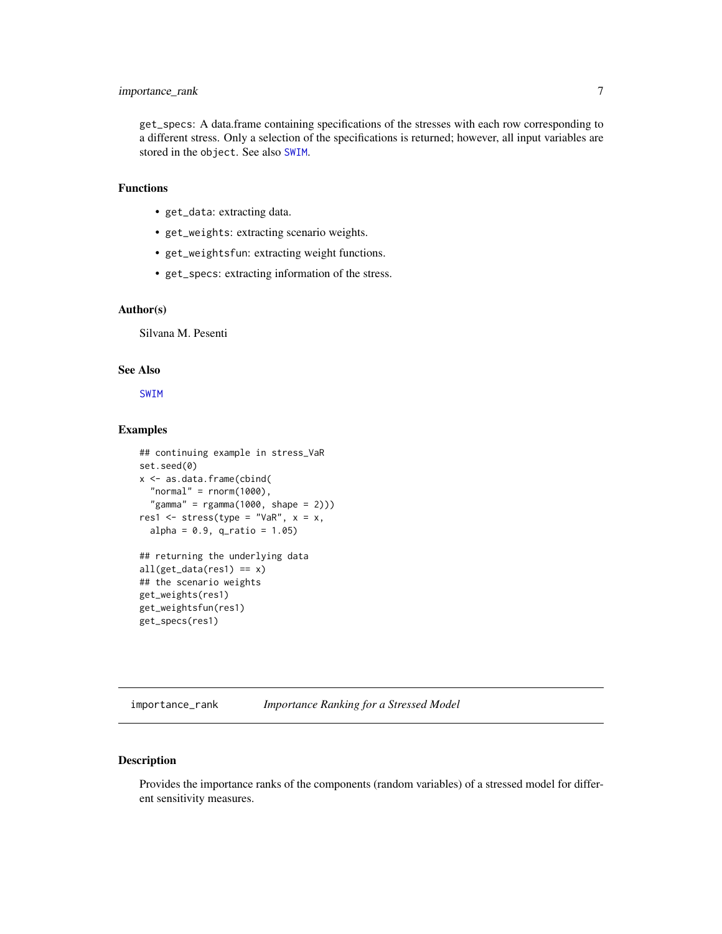# <span id="page-6-0"></span>importance\_rank 7

get\_specs: A data.frame containing specifications of the stresses with each row corresponding to a different stress. Only a selection of the specifications is returned; however, all input variables are stored in the object. See also [SWIM](#page-33-1).

# Functions

- get\_data: extracting data.
- get\_weights: extracting scenario weights.
- get\_weightsfun: extracting weight functions.
- get\_specs: extracting information of the stress.

# Author(s)

Silvana M. Pesenti

# See Also

[SWIM](#page-33-1)

#### Examples

```
## continuing example in stress_VaR
set.seed(0)
x <- as.data.frame(cbind(
  "normal" = rnorm(1000),
  "gamma" = rgamma(1000, shape = 2)))res1 <- stress(type = "VaR", x = x,
  alpha = 0.9, q_{ratio} = 1.05)## returning the underlying data
all(get_data(res1) == x)## the scenario weights
get_weights(res1)
get_weightsfun(res1)
```
<span id="page-6-1"></span>importance\_rank *Importance Ranking for a Stressed Model*

# Description

get\_specs(res1)

Provides the importance ranks of the components (random variables) of a stressed model for different sensitivity measures.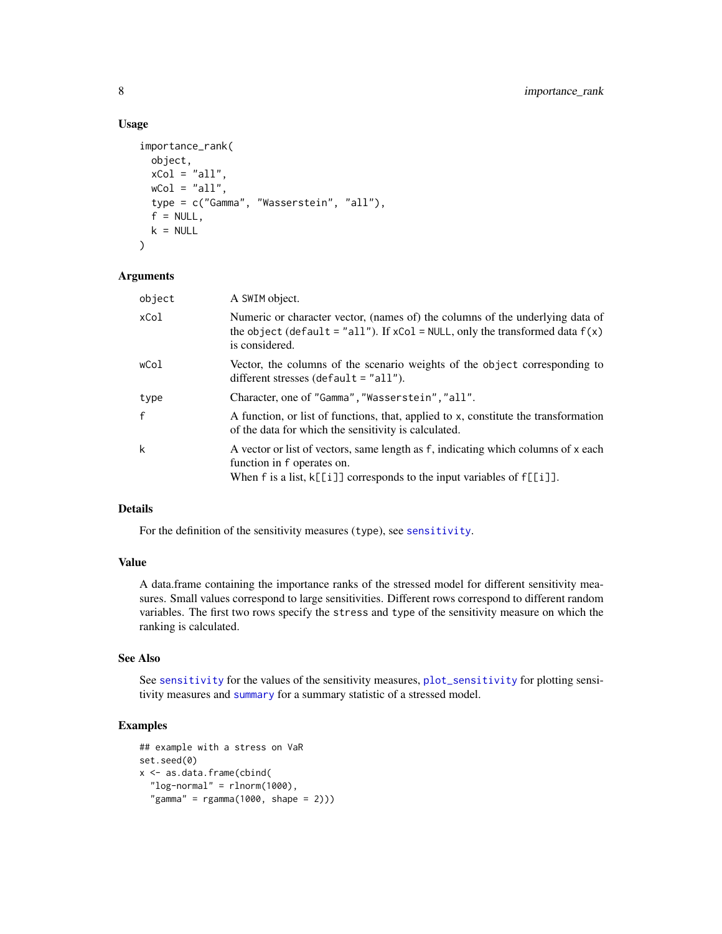#### Usage

```
importance_rank(
 object,
 xCol = "all",wCol = "all",type = c("Gamma", "Wasserstein", "all"),
 f = NULL,k = NULL)
```
# Arguments

| object       | A SWIM object.                                                                                                                                                                                   |
|--------------|--------------------------------------------------------------------------------------------------------------------------------------------------------------------------------------------------|
| xCol         | Numeric or character vector, (names of) the columns of the underlying data of<br>the object (default = "all"). If $xCol = NULL$ , only the transformed data $f(x)$<br>is considered.             |
| wCol         | Vector, the columns of the scenario weights of the object corresponding to<br>different stresses (default $=$ "all").                                                                            |
| type         | Character, one of "Gamma", "Wasserstein", "all".                                                                                                                                                 |
| $\mathbf{f}$ | A function, or list of functions, that, applied to x, constitute the transformation<br>of the data for which the sensitivity is calculated.                                                      |
| k            | A vector or list of vectors, same length as f, indicating which columns of x each<br>function in f operates on.<br>When $f$ is a list, $k[[i]]$ corresponds to the input variables of $f[[i]]$ . |

# Details

For the definition of the sensitivity measures (type), see [sensitivity](#page-15-1).

# Value

A data.frame containing the importance ranks of the stressed model for different sensitivity measures. Small values correspond to large sensitivities. Different rows correspond to different random variables. The first two rows specify the stress and type of the sensitivity measure on which the ranking is calculated.

# See Also

See [sensitivity](#page-15-1) for the values of the sensitivity measures, [plot\\_sensitivity](#page-12-1) for plotting sensitivity measures and [summary](#page-0-0) for a summary statistic of a stressed model.

# Examples

```
## example with a stress on VaR
set.seed(0)
x <- as.data.frame(cbind(
  "log-normal" = rlnorm(1000),
  "gamma" = rgamma(1000, shape = 2))
```
<span id="page-7-0"></span>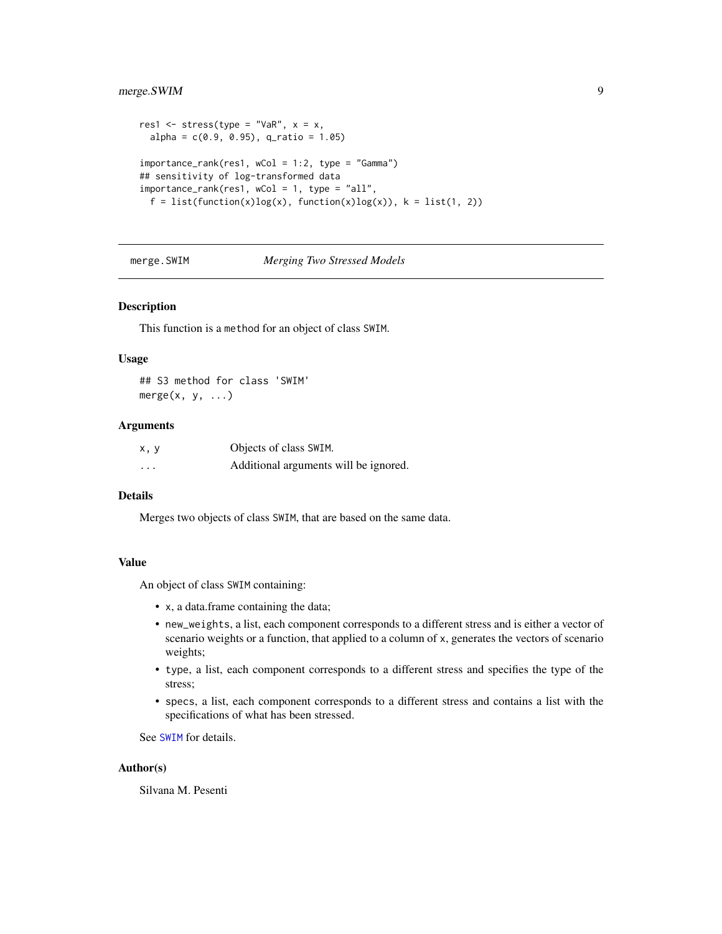# <span id="page-8-0"></span>merge.SWIM 9

```
res1 \le stress(type = "VaR", x = x,
 alpha = c(0.9, 0.95), q_ratio = 1.05)
importance\_rank(res1, wCol = 1:2, type = "Gamma")## sensitivity of log-transformed data
importance_rank(res1, wCol = 1, type = "all",
 f = list(function(x)log(x), function(x)log(x)), k = list(1, 2))
```
#### merge.SWIM *Merging Two Stressed Models*

# Description

This function is a method for an object of class SWIM.

#### Usage

## S3 method for class 'SWIM' merge $(x, y, \ldots)$ 

#### Arguments

| x, y | Objects of class SWIM.                |
|------|---------------------------------------|
| .    | Additional arguments will be ignored. |

# Details

Merges two objects of class SWIM, that are based on the same data.

#### Value

An object of class SWIM containing:

- x, a data.frame containing the data;
- new\_weights, a list, each component corresponds to a different stress and is either a vector of scenario weights or a function, that applied to a column of x, generates the vectors of scenario weights;
- type, a list, each component corresponds to a different stress and specifies the type of the stress;
- specs, a list, each component corresponds to a different stress and contains a list with the specifications of what has been stressed.

See [SWIM](#page-33-1) for details.

#### Author(s)

Silvana M. Pesenti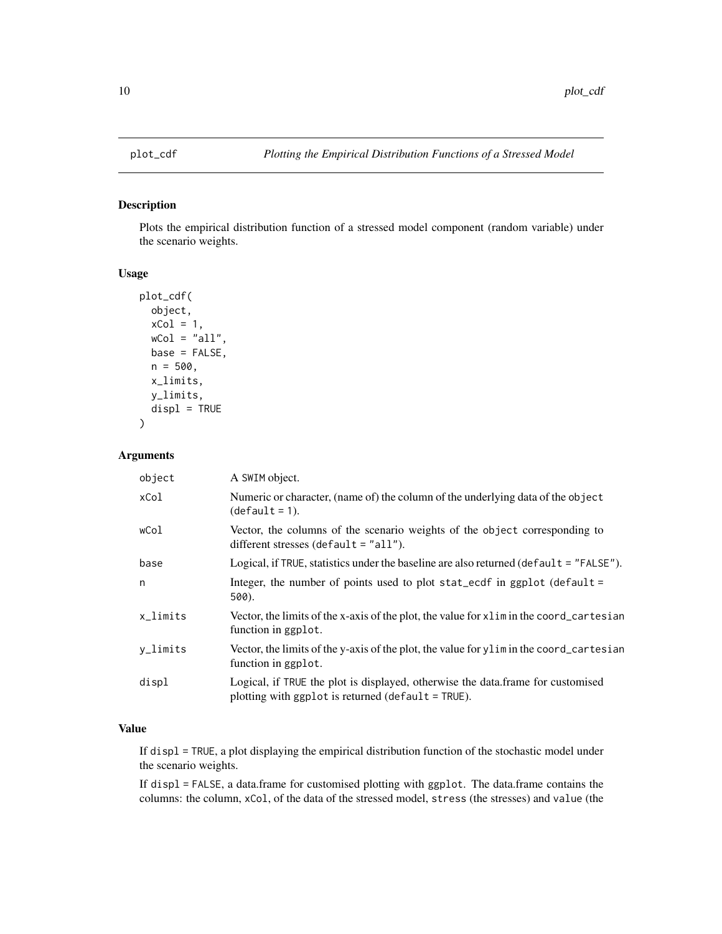<span id="page-9-1"></span><span id="page-9-0"></span>

#### Description

Plots the empirical distribution function of a stressed model component (random variable) under the scenario weights.

#### Usage

```
plot_cdf(
  object,
  xCol = 1,
 wCol = "all",base = FALSE,
  n = 500,x_limits,
 y_limits,
 display = TRUE
)
```
# Arguments

| object      | A SWIM object.                                                                                                                          |
|-------------|-----------------------------------------------------------------------------------------------------------------------------------------|
| xCol        | Numeric or character, (name of) the column of the underlying data of the object<br>$(detault = 1).$                                     |
| wCol        | Vector, the columns of the scenario weights of the object corresponding to<br>different stresses (default $=$ "all").                   |
| base        | Logical, if TRUE, statistics under the baseline are also returned ( $\text{default} = "FALSE"$ ).                                       |
| n           | Integer, the number of points used to plot stat_ecdf in ggplot (default =<br>500).                                                      |
| $x$ _limits | Vector, the limits of the x-axis of the plot, the value for x l im in the coord_cartesian<br>function in ggplot.                        |
| y_limits    | Vector, the limits of the y-axis of the plot, the value for y limin the coord_cartesian<br>function in ggplot.                          |
| displ       | Logical, if TRUE the plot is displayed, otherwise the data.frame for customised<br>plotting with ggplot is returned (default $=$ TRUE). |

# Value

If displ = TRUE, a plot displaying the empirical distribution function of the stochastic model under the scenario weights.

If displ = FALSE, a data.frame for customised plotting with ggplot. The data.frame contains the columns: the column, xCol, of the data of the stressed model, stress (the stresses) and value (the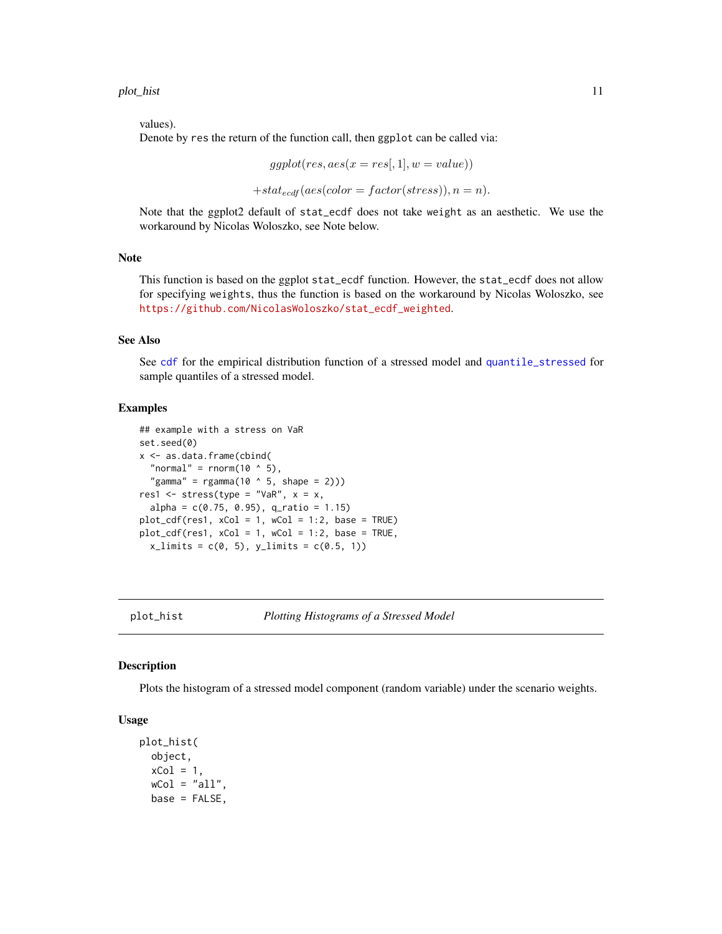<span id="page-10-0"></span>values).

Denote by res the return of the function call, then ggplot can be called via:

 $ggplot(res, aes(x = res[, 1], w = value))$ 

 $+stat_{ecdf}(aes(color = factor(stress)), n = n).$ 

Note that the ggplot2 default of stat\_ecdf does not take weight as an aesthetic. We use the workaround by Nicolas Woloszko, see Note below.

#### Note

This function is based on the ggplot stat\_ecdf function. However, the stat\_ecdf does not allow for specifying weights, thus the function is based on the workaround by Nicolas Woloszko, see [https://github.com/NicolasWoloszko/stat\\_ecdf\\_weighted](https://github.com/NicolasWoloszko/stat_ecdf_weighted).

### See Also

See [cdf](#page-1-1) for the empirical distribution function of a stressed model and [quantile\\_stressed](#page-14-1) for sample quantiles of a stressed model.

# Examples

```
## example with a stress on VaR
set.seed(0)
x <- as.data.frame(cbind(
  "normal" = rnorm(10 \land 5),
  "gamma" = rgamma(10 \land 5, shape = 2)))res1 \le stress(type = "VaR", x = x,
 alpha = c(0.75, 0.95), q_ratio = 1.15)
plot_cdf(res1, xCol = 1, wCol = 1:2, base = TRUE)plot_cdf(res1, xCol = 1, wCol = 1:2, base = TRUE,x_{\text{limits}} = c(0, 5), y_{\text{limits}} = c(0.5, 1)
```
plot\_hist *Plotting Histograms of a Stressed Model*

#### **Description**

Plots the histogram of a stressed model component (random variable) under the scenario weights.

#### Usage

```
plot_hist(
 object,
  xCol = 1,
 wCol = "all",base = FALSE,
```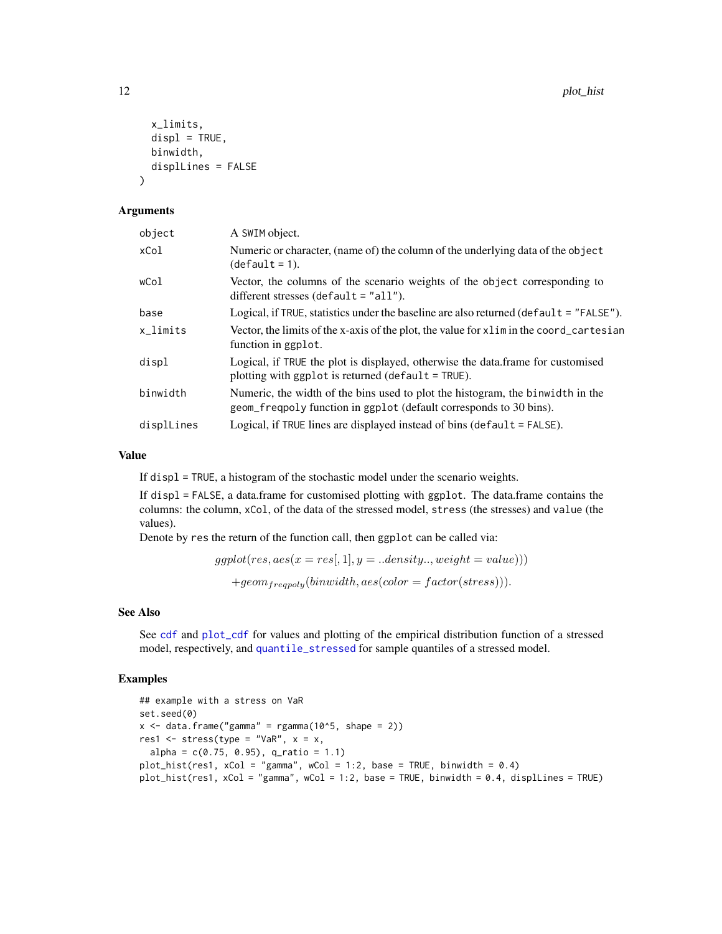```
x_limits,
  displ = TRUE,
 binwidth,
  displLines = FALSE
)
```
#### Arguments

| object      | A SWIM object.                                                                                                                                       |
|-------------|------------------------------------------------------------------------------------------------------------------------------------------------------|
| xCol        | Numeric or character, (name of) the column of the underlying data of the object<br>$(detault = 1).$                                                  |
| wCol        | Vector, the columns of the scenario weights of the object corresponding to<br>different stresses (default $=$ "all").                                |
| base        | Logical, if TRUE, statistics under the baseline are also returned ( $default = "FALEE")$ .                                                           |
| $x$ _limits | Vector, the limits of the x-axis of the plot, the value for x l im in the coord_cartesian<br>function in ggplot.                                     |
| displ       | Logical, if TRUE the plot is displayed, otherwise the data.frame for customised<br>plotting with ggplot is returned ( $default = TRUE$ ).            |
| binwidth    | Numeric, the width of the bins used to plot the histogram, the binwidth in the<br>geom_freqpoly function in ggplot (default corresponds to 30 bins). |
| displLines  | Logical, if TRUE lines are displayed instead of bins ( $default = FALSE$ ).                                                                          |

# Value

If displ = TRUE, a histogram of the stochastic model under the scenario weights.

If displ = FALSE, a data.frame for customised plotting with ggplot. The data.frame contains the columns: the column, xCol, of the data of the stressed model, stress (the stresses) and value (the values).

Denote by res the return of the function call, then ggplot can be called via:

```
ggplot(res, aes(x = res[, 1], y = .. density.., weight = value))+geom_{frequency}(binwidth, aes(color = factor(stress))).
```
# See Also

See [cdf](#page-1-1) and [plot\\_cdf](#page-9-1) for values and plotting of the empirical distribution function of a stressed model, respectively, and [quantile\\_stressed](#page-14-1) for sample quantiles of a stressed model.

# Examples

```
## example with a stress on VaR
set.seed(0)
x \le - data.frame("gamma" = rgamma(10^5, shape = 2))
res1 <- stress(type = "VaR", x = x,
 alpha = c(0.75, 0.95), q_ratio = 1.1)
plot\_hist(res1, xCol = "gamma", wCol = 1:2, base = TRUE, binwidth = 0.4)plot_hist(res1, xCol = "gamma", wCol = 1:2, base = TRUE, binwidth = 0.4, displLines = TRUE)
```
<span id="page-11-0"></span>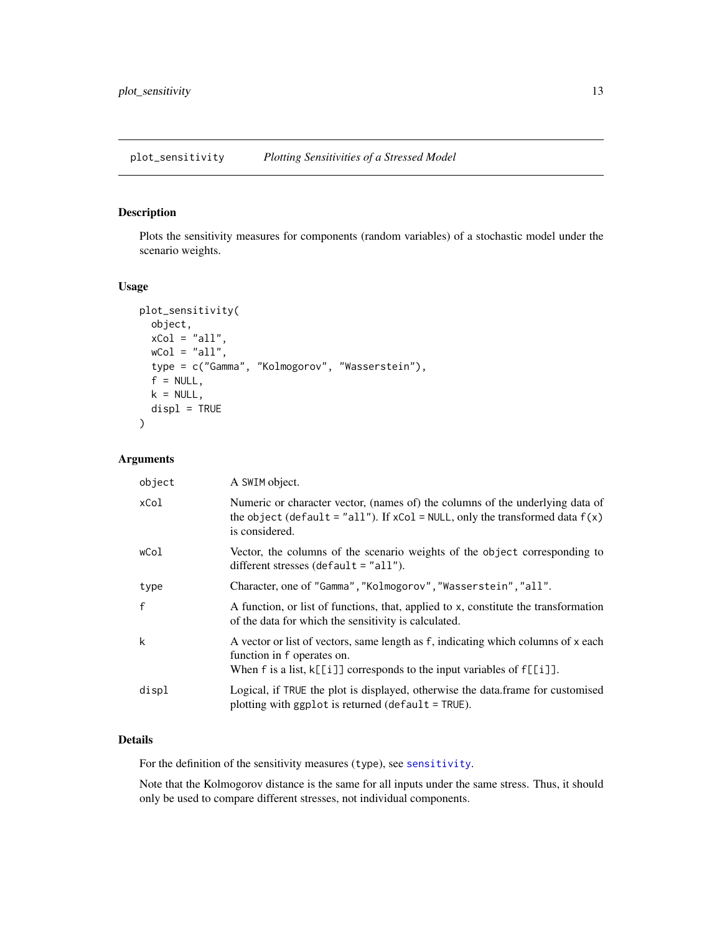<span id="page-12-1"></span><span id="page-12-0"></span>plot\_sensitivity *Plotting Sensitivities of a Stressed Model*

# Description

Plots the sensitivity measures for components (random variables) of a stochastic model under the scenario weights.

# Usage

```
plot_sensitivity(
 object,
 xCol = "all",wCol = "all",type = c("Gamma", "Kolmogorov", "Wasserstein"),
  f = NULL,k = NULL,display = TRUE
)
```
# Arguments

| object       | A SWIM object.                                                                                                                                                                                   |
|--------------|--------------------------------------------------------------------------------------------------------------------------------------------------------------------------------------------------|
| xCol         | Numeric or character vector, (names of) the columns of the underlying data of<br>the object (default = "all"). If $xCol = NULL$ , only the transformed data $f(x)$<br>is considered.             |
| wCol         | Vector, the columns of the scenario weights of the object corresponding to<br>different stresses (default $=$ "all").                                                                            |
| type         | Character, one of "Gamma", "Kolmogorov", "Wasserstein", "all".                                                                                                                                   |
| $\mathbf{f}$ | A function, or list of functions, that, applied to x, constitute the transformation<br>of the data for which the sensitivity is calculated.                                                      |
| k            | A vector or list of vectors, same length as f, indicating which columns of x each<br>function in f operates on.<br>When $f$ is a list, $k[[i]]$ corresponds to the input variables of $f[[i]]$ . |
| displ        | Logical, if TRUE the plot is displayed, otherwise the data.frame for customised<br>plotting with ggplot is returned (default = TRUE).                                                            |

# Details

For the definition of the sensitivity measures (type), see [sensitivity](#page-15-1).

Note that the Kolmogorov distance is the same for all inputs under the same stress. Thus, it should only be used to compare different stresses, not individual components.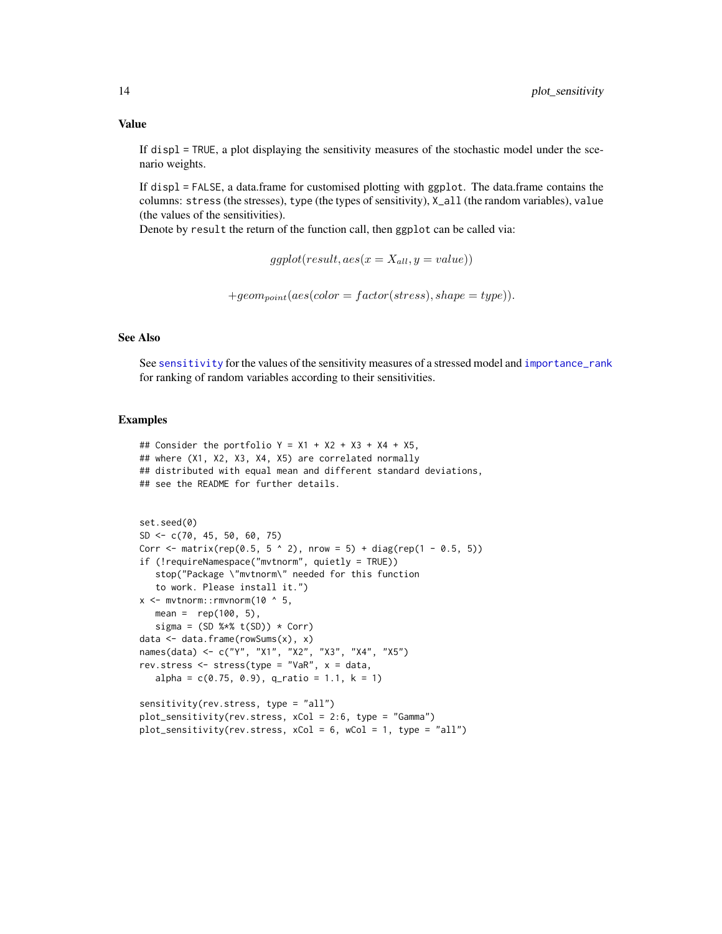<span id="page-13-0"></span>If displ = TRUE, a plot displaying the sensitivity measures of the stochastic model under the scenario weights.

If displ = FALSE, a data.frame for customised plotting with ggplot. The data.frame contains the columns: stress (the stresses), type (the types of sensitivity), X\_all (the random variables), value (the values of the sensitivities).

Denote by result the return of the function call, then ggplot can be called via:

 $ggplot(result, aes(x = X_{all}, y = value))$ 

 $+geom_{point}(aes(color = factor(stress), shape = type)).$ 

# See Also

See [sensitivity](#page-15-1) for the values of the sensitivity measures of a stressed model and [importance\\_rank](#page-6-1) for ranking of random variables according to their sensitivities.

#### Examples

```
## Consider the portfolio Y = X1 + X2 + X3 + X4 + X5,
## where (X1, X2, X3, X4, X5) are correlated normally
## distributed with equal mean and different standard deviations,
## see the README for further details.
```

```
set.seed(0)
SD \leq -c(70, 45, 50, 60, 75)Corr <- matrix(rep(0.5, 5 \land 2), nrow = 5) + diag(rep(1 - 0.5, 5))
if (!requireNamespace("mvtnorm", quietly = TRUE))
  stop("Package \"mvtnorm\" needed for this function
   to work. Please install it.")
x <- mvtnorm::rmvnorm(10 \land 5,
  mean = rep(100, 5),
  signa = (SD % * % t(SD)) * Corr)data <- data.frame(rowSums(x), x)
names(data) <- c("Y", "X1", "X2", "X3", "X4", "X5")
rev.stress <- stress(type = "VaR", x = data,
  alpha = c(0.75, 0.9), q_ratio = 1.1, k = 1)
sensitivity(rev.stress, type = "all")
plot_sensitivity(rev.stress, xCol = 2:6, type = "Gamma")
```
plot\_sensitivity(rev.stress, xCol = 6, wCol = 1, type = "all")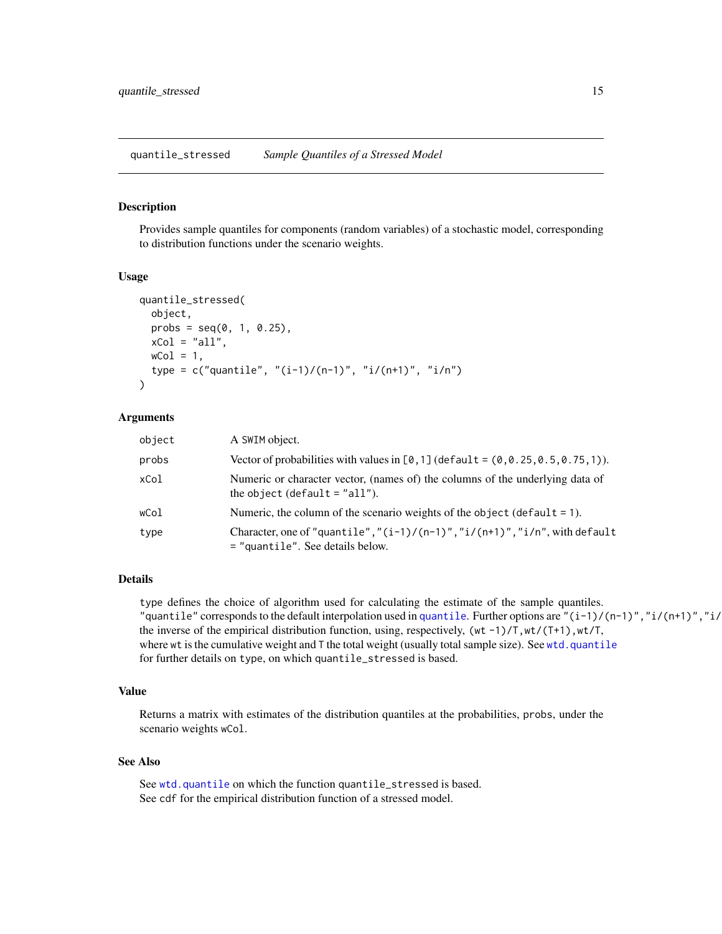<span id="page-14-1"></span><span id="page-14-0"></span>quantile\_stressed *Sample Quantiles of a Stressed Model*

# Description

Provides sample quantiles for components (random variables) of a stochastic model, corresponding to distribution functions under the scenario weights.

#### Usage

```
quantile_stressed(
 object,
 probs = seq(0, 1, 0.25),
  xCol = "all",wCol = 1,
  type = c("quantile", "(i-1)/(n-1)", "i/(n+1)", "i/n")
)
```
#### Arguments

| object | A SWIM object.                                                                                                                |
|--------|-------------------------------------------------------------------------------------------------------------------------------|
| probs  | Vector of probabilities with values in $[0,1]$ (default = $(0,0.25,0.5,0.75,1)$ ).                                            |
| xCol   | Numeric or character vector, (names of) the columns of the underlying data of<br>the object (default $=$ "all").              |
| wCol   | Numeric, the column of the scenario weights of the object (default $= 1$ ).                                                   |
| type   | Character, one of "quantile", " $(i-1)/(n-1)$ ", " $i/(n+1)$ ", " $i/n$ ", with default<br>$=$ "quantile". See details below. |

#### Details

type defines the choice of algorithm used for calculating the estimate of the sample quantiles. "[quantile](#page-0-0)" corresponds to the default interpolation used in quantile. Further options are " $(i-1)/((n-1)$ ", "i/ $(n+1)$ ", "i/ the inverse of the empirical distribution function, using, respectively,  $(wt -1)/T, wt/(T+1), wt/T$ , where wt is the cumulative weight and  $T$  the total weight (usually total sample size). See [wtd.quantile](#page-0-0) for further details on type, on which quantile\_stressed is based.

#### Value

Returns a matrix with estimates of the distribution quantiles at the probabilities, probs, under the scenario weights wCol.

#### See Also

See [wtd.quantile](#page-0-0) on which the function quantile\_stressed is based. See cdf for the empirical distribution function of a stressed model.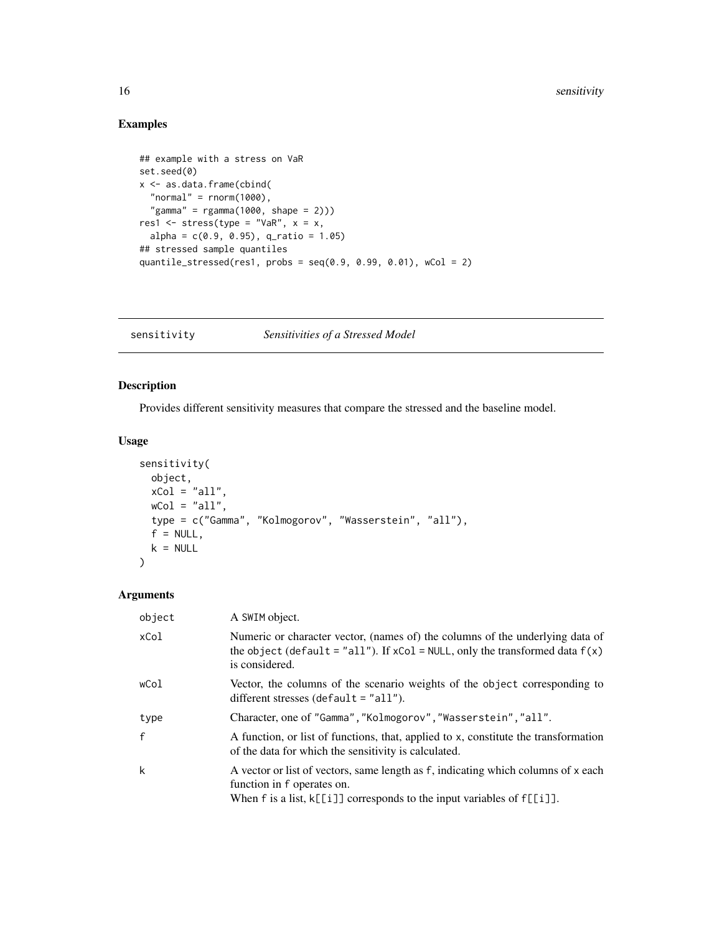# Examples

```
## example with a stress on VaR
set.seed(0)
x <- as.data.frame(cbind(
  "normal" = rnorm(1000),
  "gamma" = rgamma(1000, shape = 2)))res1 <- stress(type = "VaR", x = x,
  alpha = c(0.9, 0.95), q_ratio = 1.05)
## stressed sample quantiles
quantile_stressed(res1, probs = seq(0.9, 0.99, 0.01), wCol = 2)
```
<span id="page-15-1"></span>sensitivity *Sensitivities of a Stressed Model*

# Description

Provides different sensitivity measures that compare the stressed and the baseline model.

# Usage

```
sensitivity(
 object,
  xCol = "all",wCol = "all",type = c("Gamma", "Kolmogorov", "Wasserstein", "all"),
  f = NULL,k = NULL\mathcal{L}
```
#### Arguments

| object       | A SWIM object.                                                                                                                                                                                   |
|--------------|--------------------------------------------------------------------------------------------------------------------------------------------------------------------------------------------------|
| xCol         | Numeric or character vector, (names of) the columns of the underlying data of<br>the object (default = "all"). If $xCol = NULL$ , only the transformed data $f(x)$<br>is considered.             |
| wCol         | Vector, the columns of the scenario weights of the object corresponding to<br>different stresses (default $=$ "all").                                                                            |
| type         | Character, one of "Gamma", "Kolmogorov", "Wasserstein", "all".                                                                                                                                   |
| $\mathbf{f}$ | A function, or list of functions, that, applied to x, constitute the transformation<br>of the data for which the sensitivity is calculated.                                                      |
| k            | A vector or list of vectors, same length as f, indicating which columns of x each<br>function in f operates on.<br>When $f$ is a list, $k[[i]]$ corresponds to the input variables of $f[[i]]$ . |

<span id="page-15-0"></span>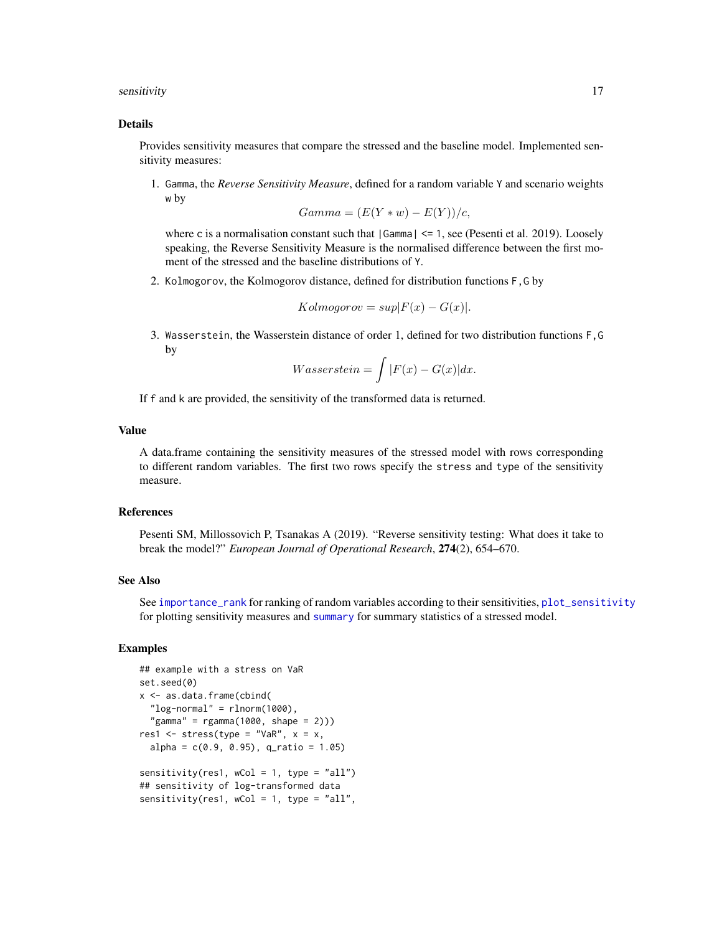#### <span id="page-16-0"></span>sensitivity that the contract of the contract of the contract of the contract of the contract of the contract of the contract of the contract of the contract of the contract of the contract of the contract of the contract

#### Details

Provides sensitivity measures that compare the stressed and the baseline model. Implemented sensitivity measures:

1. Gamma, the *Reverse Sensitivity Measure*, defined for a random variable Y and scenario weights w by

$$
Gamma = (E(Y * w) - E(Y))/c,
$$

where c is a normalisation constant such that  $|Gamma| \le 1$ , see (Pesenti et al. 2019). Loosely speaking, the Reverse Sensitivity Measure is the normalised difference between the first moment of the stressed and the baseline distributions of Y.

2. Kolmogorov, the Kolmogorov distance, defined for distribution functions F,G by

$$
Kolmogorov = sup|F(x) - G(x)|.
$$

3. Wasserstein, the Wasserstein distance of order 1, defined for two distribution functions F,G by

$$
Wasserstein = \int |F(x) - G(x)| dx.
$$

If f and k are provided, the sensitivity of the transformed data is returned.

# Value

A data.frame containing the sensitivity measures of the stressed model with rows corresponding to different random variables. The first two rows specify the stress and type of the sensitivity measure.

# References

Pesenti SM, Millossovich P, Tsanakas A (2019). "Reverse sensitivity testing: What does it take to break the model?" *European Journal of Operational Research*, 274(2), 654–670.

# See Also

See [importance\\_rank](#page-6-1) for ranking of random variables according to their sensitivities, [plot\\_sensitivity](#page-12-1) for plotting sensitivity measures and [summary](#page-0-0) for summary statistics of a stressed model.

#### Examples

```
## example with a stress on VaR
set.seed(0)
x <- as.data.frame(cbind(
 "log-normal" = rlnorm(1000),
  "gamma" = rgamma(1000, shape = 2)))res1 <- stress(type = "VaR", x = x,
 alpha = c(0.9, 0.95), q_ratio = 1.05)
sensitivity(res1, wCol = 1, type = "all")
## sensitivity of log-transformed data
sensitivity(res1, wCol = 1, type = "all",
```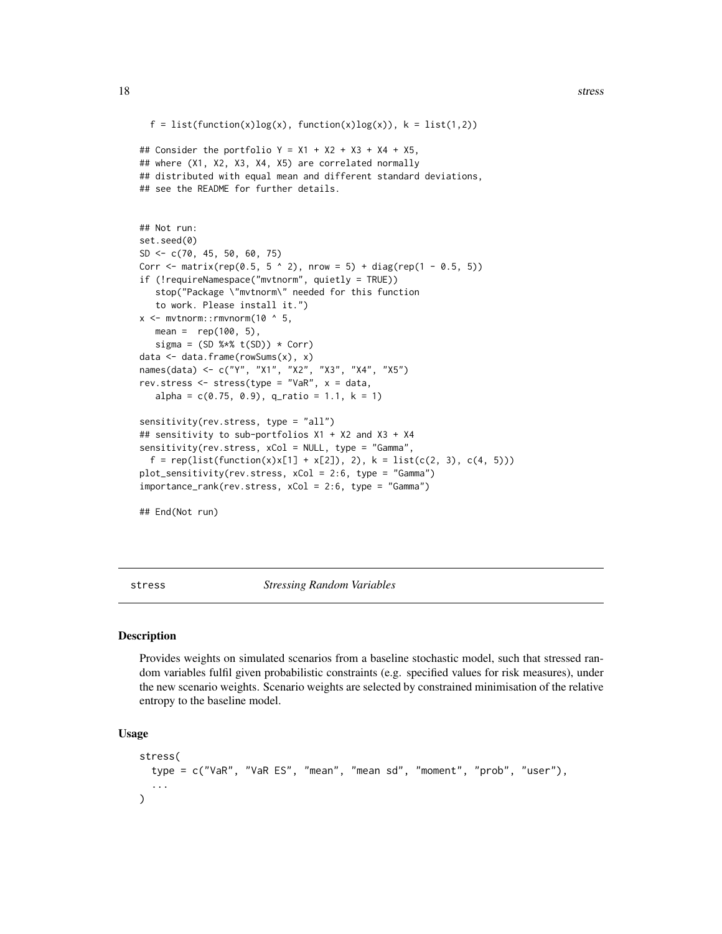```
f = list(function(x)log(x), function(x)log(x)), k = list(1,2))## Consider the portfolio Y = X1 + X2 + X3 + X4 + X5,
## where (X1, X2, X3, X4, X5) are correlated normally
## distributed with equal mean and different standard deviations,
## see the README for further details.
## Not run:
set.seed(0)
SD <- c(70, 45, 50, 60, 75)
Corr <- matrix(rep(0.5, 5 \land 2), nrow = 5) + diag(rep(1 - 0.5, 5))
if (!requireNamespace("mvtnorm", quietly = TRUE))
   stop("Package \"mvtnorm\" needed for this function
   to work. Please install it.")
x <- mvtnorm::rmvnorm(10 ^ 5,
  mean = rep(100, 5),
  sigma = (SD %*% t(SD)) * Corr)data <- data.frame(rowSums(x), x)
names(data) <- c("Y", "X1", "X2", "X3", "X4", "X5")
rev.stress <- stress(type = "VaR", x = data,
  alpha = c(0.75, 0.9), q_ratio = 1.1, k = 1)
sensitivity(rev.stress, type = "all")
## sensitivity to sub-portfolios X1 + X2 and X3 + X4
sensitivity(rev.stress, xCol = NULL, type = "Gamma",
 f = rep(list(function(x)x[1] + x[2]), 2), k = list(c(2, 3), c(4, 5)))plot_sensitivity(rev.stress, xCol = 2:6, type = "Gamma")
importance_rank(rev.stress, xCol = 2:6, type = "Gamma")
```
## End(Not run)

<span id="page-17-1"></span>stress *Stressing Random Variables*

# **Description**

Provides weights on simulated scenarios from a baseline stochastic model, such that stressed random variables fulfil given probabilistic constraints (e.g. specified values for risk measures), under the new scenario weights. Scenario weights are selected by constrained minimisation of the relative entropy to the baseline model.

#### Usage

```
stress(
  type = c("VaR", "VaR ES", "mean", "mean sd", "moment", "prob", "user"),
  ...
)
```
<span id="page-17-0"></span>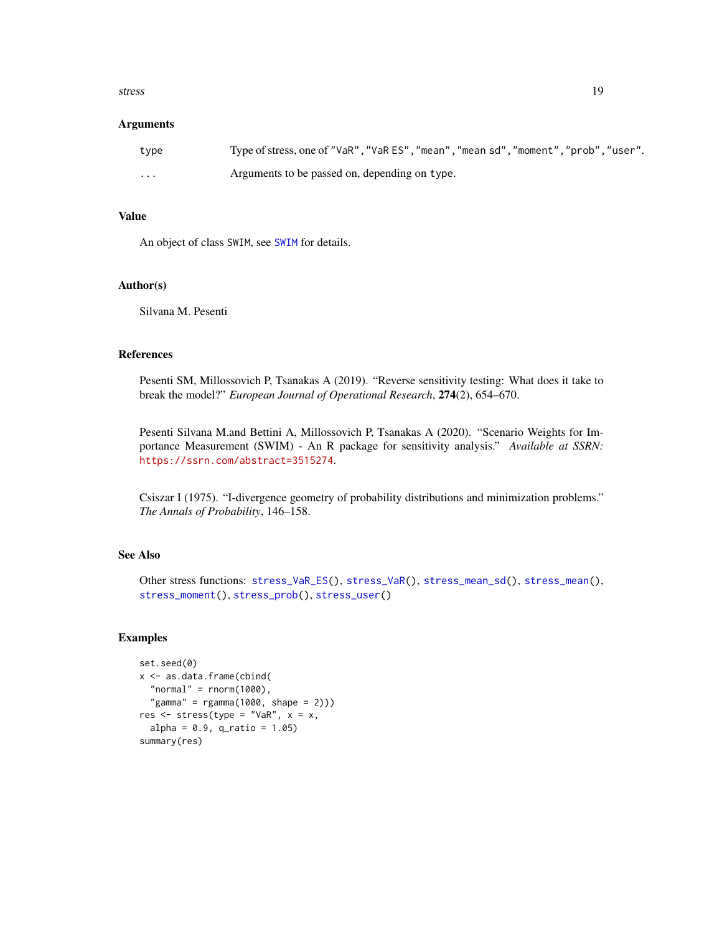#### <span id="page-18-0"></span>stress and the stress of the stress in the stress in the stress in the stress in the stress in the stress in the stress in the stress in the stress in the stress in the stress in the stress in the stress in the stress in t

#### **Arguments**

| type     | Type of stress, one of "VaR", "VaR ES", "mean", "mean sd", "moment", "prob", "user". |
|----------|--------------------------------------------------------------------------------------|
| $\cdots$ | Arguments to be passed on, depending on type.                                        |

# Value

An object of class SWIM, see [SWIM](#page-33-1) for details.

#### Author(s)

Silvana M. Pesenti

#### References

Pesenti SM, Millossovich P, Tsanakas A (2019). "Reverse sensitivity testing: What does it take to break the model?" *European Journal of Operational Research*, 274(2), 654–670.

Pesenti Silvana M.and Bettini A, Millossovich P, Tsanakas A (2020). "Scenario Weights for Importance Measurement (SWIM) - An R package for sensitivity analysis." *Available at SSRN:* <https://ssrn.com/abstract=3515274>.

Csiszar I (1975). "I-divergence geometry of probability distributions and minimization problems." *The Annals of Probability*, 146–158.

# See Also

Other stress functions: [stress\\_VaR\\_ES\(](#page-29-1)), [stress\\_VaR\(](#page-27-1)), [stress\\_mean\\_sd\(](#page-20-1)), [stress\\_mean\(](#page-19-1)), [stress\\_moment\(](#page-22-1)), [stress\\_prob\(](#page-24-1)), [stress\\_user\(](#page-26-1))

#### Examples

```
set.seed(0)
x <- as.data.frame(cbind(
  "normal" = rnorm(1000),
  "gamma" = rgamma(1000, shape = 2)))res \leq stress(type = "VaR", x = x,
  alpha = 0.9, q_{ratio} = 1.05)summary(res)
```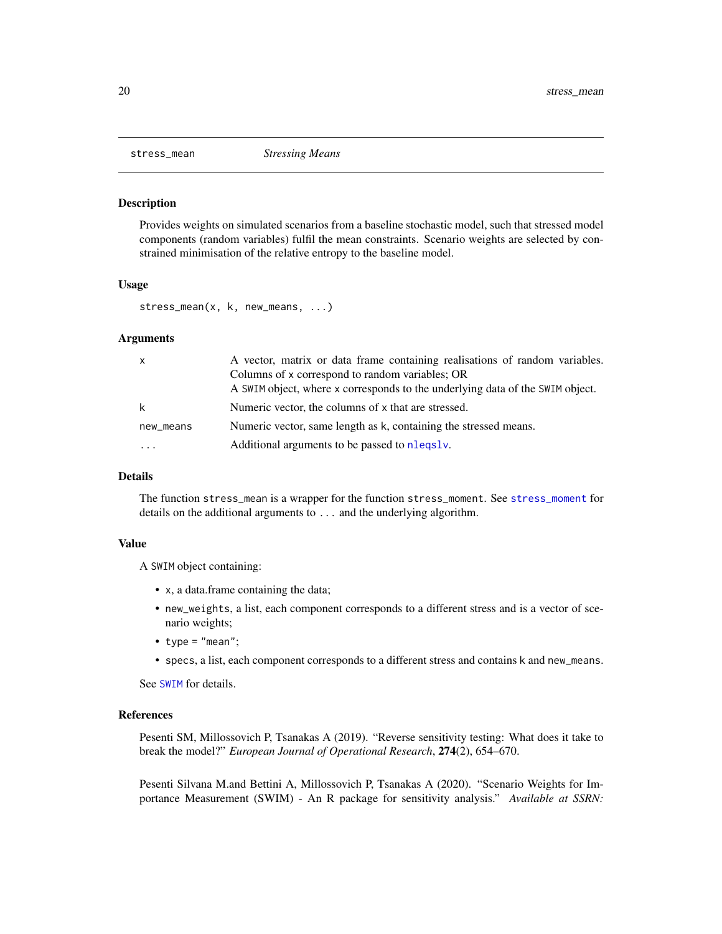<span id="page-19-1"></span><span id="page-19-0"></span>

#### Description

Provides weights on simulated scenarios from a baseline stochastic model, such that stressed model components (random variables) fulfil the mean constraints. Scenario weights are selected by constrained minimisation of the relative entropy to the baseline model.

# Usage

```
stress_mean(x, k, new_means, ...)
```
#### Arguments

| $\mathsf{X}$      | A vector, matrix or data frame containing realisations of random variables.<br>Columns of x correspond to random variables; OR |
|-------------------|--------------------------------------------------------------------------------------------------------------------------------|
|                   | A SWIM object, where x corresponds to the underlying data of the SWIM object.                                                  |
| k                 | Numeric vector, the columns of x that are stressed.                                                                            |
| new_means         | Numeric vector, same length as k, containing the stressed means.                                                               |
| $\cdot\cdot\cdot$ | Additional arguments to be passed to nlegsly.                                                                                  |

#### Details

The function stress\_mean is a wrapper for the function stress\_moment. See [stress\\_moment](#page-22-1) for details on the additional arguments to ... and the underlying algorithm.

#### Value

A SWIM object containing:

- x, a data.frame containing the data;
- new\_weights, a list, each component corresponds to a different stress and is a vector of scenario weights;
- type = "mean";
- specs, a list, each component corresponds to a different stress and contains k and new\_means.

See [SWIM](#page-33-1) for details.

#### References

Pesenti SM, Millossovich P, Tsanakas A (2019). "Reverse sensitivity testing: What does it take to break the model?" *European Journal of Operational Research*, 274(2), 654–670.

Pesenti Silvana M.and Bettini A, Millossovich P, Tsanakas A (2020). "Scenario Weights for Importance Measurement (SWIM) - An R package for sensitivity analysis." *Available at SSRN:*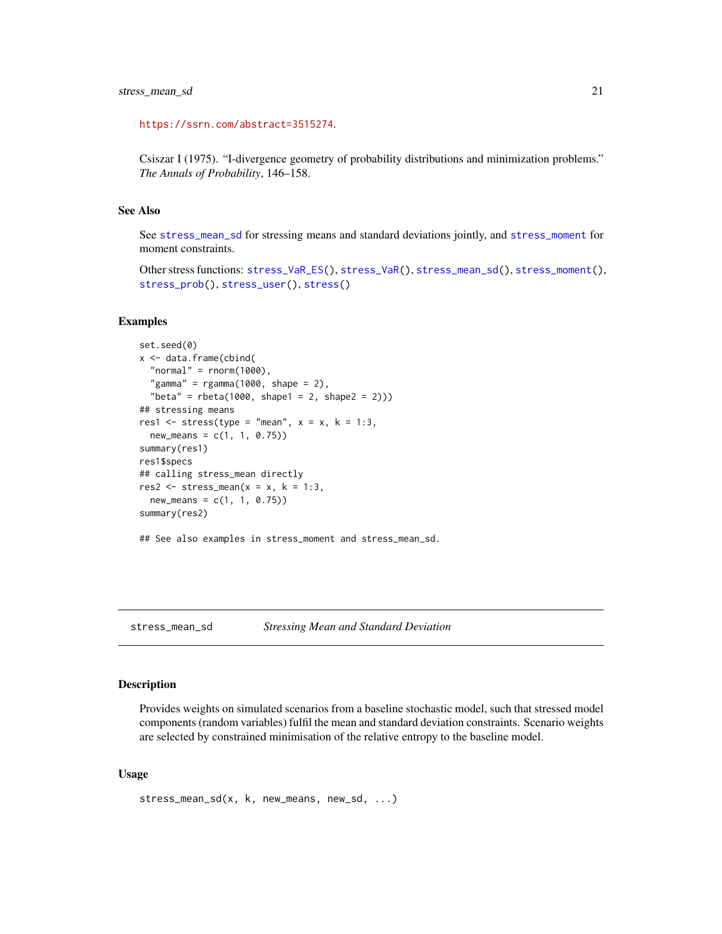```
https://ssrn.com/abstract=3515274.
```
Csiszar I (1975). "I-divergence geometry of probability distributions and minimization problems." *The Annals of Probability*, 146–158.

# See Also

See [stress\\_mean\\_sd](#page-20-1) for stressing means and standard deviations jointly, and [stress\\_moment](#page-22-1) for moment constraints.

```
Other stress functions: stress_VaR_ES(), stress_VaR(), stress_mean_sd(), stress_moment(),
stress_prob(), stress_user(), stress()
```
#### Examples

```
set.seed(0)
x <- data.frame(cbind(
  "normal" = rnorm(1000),
  "gamma" = rgamma(1000, shape = 2),
  "beta" = rbeta(1000, shape1 = 2, shape2 = 2)))## stressing means
res1 <- stress(type = "mean", x = x, k = 1:3,
  new\_means = c(1, 1, 0.75)summary(res1)
res1$specs
## calling stress_mean directly
res2 \le stress_mean(x = x, k = 1:3,
  new\_means = c(1, 1, 0.75)summary(res2)
## See also examples in stress_moment and stress_mean_sd.
```
<span id="page-20-1"></span>stress\_mean\_sd *Stressing Mean and Standard Deviation*

#### Description

Provides weights on simulated scenarios from a baseline stochastic model, such that stressed model components (random variables) fulfil the mean and standard deviation constraints. Scenario weights are selected by constrained minimisation of the relative entropy to the baseline model.

#### Usage

```
stress_mean_sd(x, k, new_means, new_sd, ...)
```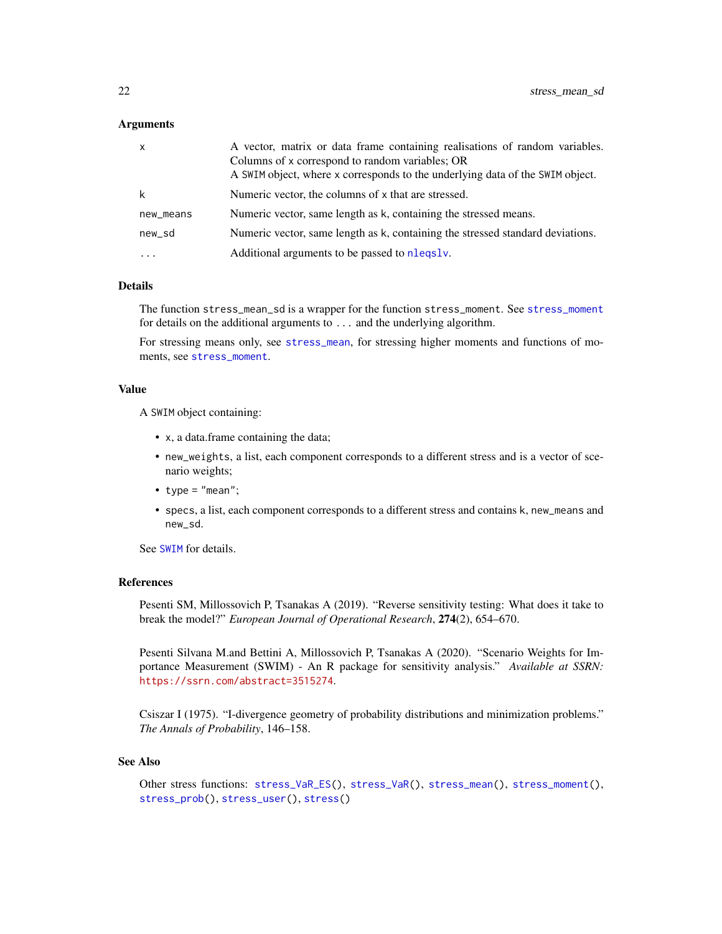#### <span id="page-21-0"></span>**Arguments**

| x         | A vector, matrix or data frame containing realisations of random variables.<br>Columns of x correspond to random variables; OR<br>A SWIM object, where x corresponds to the underlying data of the SWIM object. |
|-----------|-----------------------------------------------------------------------------------------------------------------------------------------------------------------------------------------------------------------|
| k         | Numeric vector, the columns of x that are stressed.                                                                                                                                                             |
| new_means | Numeric vector, same length as k, containing the stressed means.                                                                                                                                                |
| new_sd    | Numeric vector, same length as k, containing the stressed standard deviations.                                                                                                                                  |
| $\cdots$  | Additional arguments to be passed to nlegsly.                                                                                                                                                                   |

# Details

The function stress\_mean\_sd is a wrapper for the function stress\_moment. See [stress\\_moment](#page-22-1) for details on the additional arguments to ... and the underlying algorithm.

For stressing means only, see [stress\\_mean](#page-19-1), for stressing higher moments and functions of moments, see [stress\\_moment](#page-22-1).

#### Value

A SWIM object containing:

- x, a data.frame containing the data;
- new\_weights, a list, each component corresponds to a different stress and is a vector of scenario weights;
- type =  $"mean";$
- specs, a list, each component corresponds to a different stress and contains k, new\_means and new\_sd.

See [SWIM](#page-33-1) for details.

### References

Pesenti SM, Millossovich P, Tsanakas A (2019). "Reverse sensitivity testing: What does it take to break the model?" *European Journal of Operational Research*, 274(2), 654–670.

Pesenti Silvana M.and Bettini A, Millossovich P, Tsanakas A (2020). "Scenario Weights for Importance Measurement (SWIM) - An R package for sensitivity analysis." *Available at SSRN:* <https://ssrn.com/abstract=3515274>.

Csiszar I (1975). "I-divergence geometry of probability distributions and minimization problems." *The Annals of Probability*, 146–158.

#### See Also

Other stress functions: [stress\\_VaR\\_ES\(](#page-29-1)), [stress\\_VaR\(](#page-27-1)), [stress\\_mean\(](#page-19-1)), [stress\\_moment\(](#page-22-1)), [stress\\_prob\(](#page-24-1)), [stress\\_user\(](#page-26-1)), [stress\(](#page-17-1))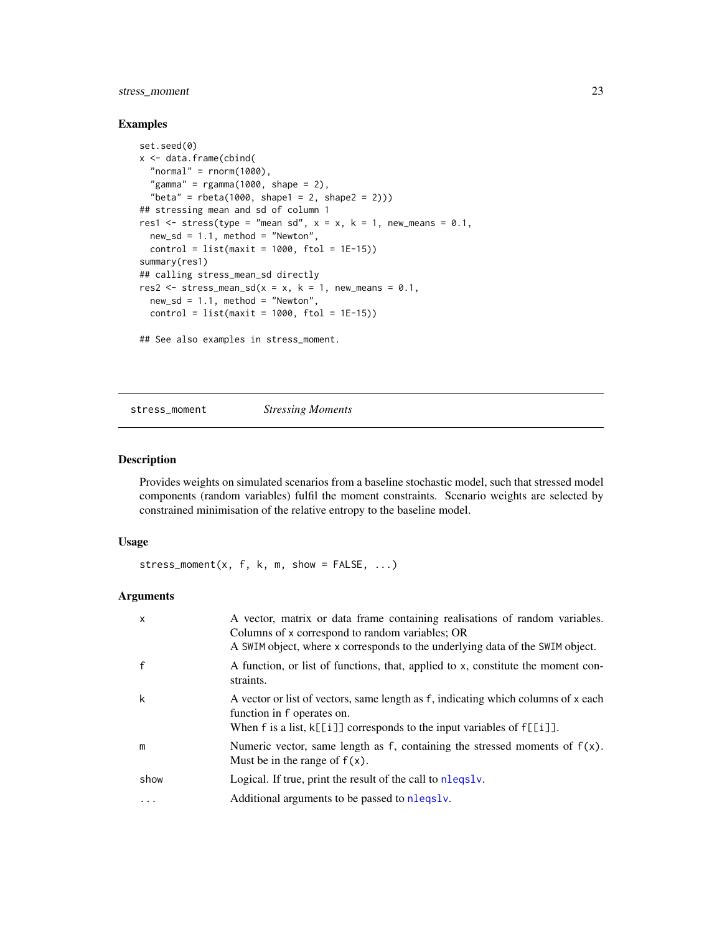# <span id="page-22-0"></span>stress\_moment 23

#### Examples

```
set.seed(0)
x <- data.frame(cbind(
  "normal" = rnorm(1000),
  "gamma" = rgamma(1000, shape = 2),
  "beta" = rbeta(1000, shape1 = 2, shape2 = 2)))## stressing mean and sd of column 1
res1 \le stress(type = "mean sd", x = x, k = 1, new_means = 0.1,
  new_s d = 1.1, method = "Newton",
  control = list(maxit = 1000, ftol = 1E-15)summary(res1)
## calling stress_mean_sd directly
res2 \le stress_mean_sd(x = x, k = 1, new_means = 0.1,
 new_s d = 1.1, method = "Newton",
 control = list(maxit = 1000, ftol = 1E-15)
```
## See also examples in stress\_moment.

<span id="page-22-1"></span>stress\_moment *Stressing Moments*

# Description

Provides weights on simulated scenarios from a baseline stochastic model, such that stressed model components (random variables) fulfil the moment constraints. Scenario weights are selected by constrained minimisation of the relative entropy to the baseline model.

#### Usage

stress\_moment(x, f, k, m, show =  $FALSE, ...$ )

# Arguments

| X        | A vector, matrix or data frame containing realisations of random variables.<br>Columns of x correspond to random variables; OR<br>A SWIM object, where x corresponds to the underlying data of the SWIM object. |
|----------|-----------------------------------------------------------------------------------------------------------------------------------------------------------------------------------------------------------------|
|          | A function, or list of functions, that, applied to x, constitute the moment con-<br>straints.                                                                                                                   |
| k        | A vector or list of vectors, same length as f, indicating which columns of x each<br>function in f operates on.<br>When $f$ is a list, $k[[i]]$ corresponds to the input variables of $f[[i]]$ .                |
| m        | Numeric vector, same length as f, containing the stressed moments of $f(x)$ .<br>Must be in the range of $f(x)$ .                                                                                               |
| show     | Logical. If true, print the result of the call to nleqslv.                                                                                                                                                      |
| $\cdots$ | Additional arguments to be passed to nlegsly.                                                                                                                                                                   |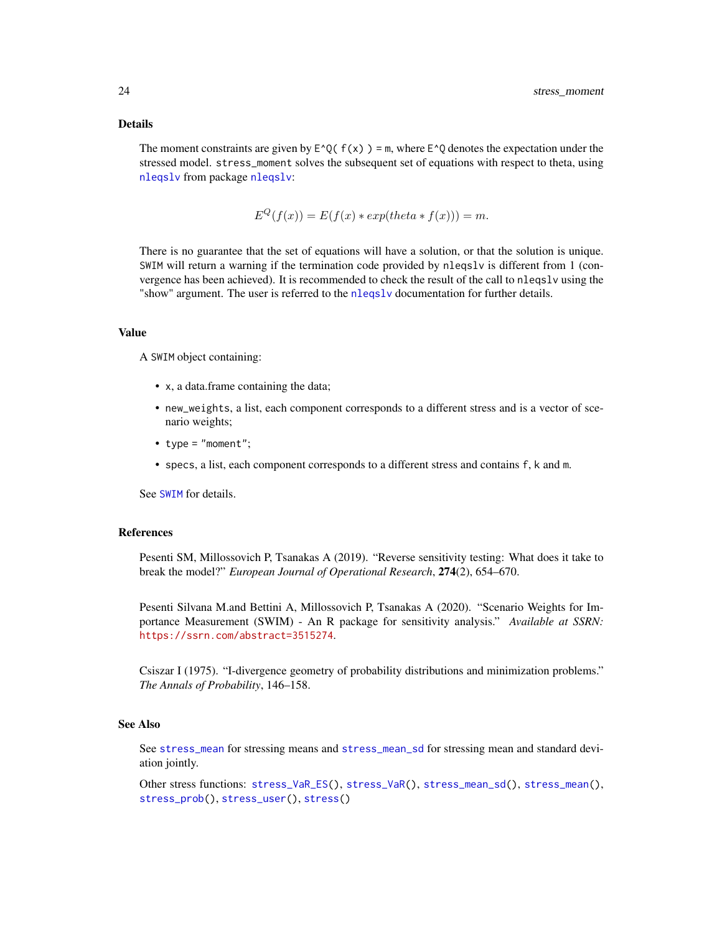#### <span id="page-23-0"></span>Details

The moment constraints are given by  $E^{\wedge} Q(f(x)) = m$ , where  $E^{\wedge} Q$  denotes the expectation under the stressed model. stress\_moment solves the subsequent set of equations with respect to theta, using [nleqslv](#page-0-0) from package [nleqslv](#page-0-0):

$$
E^{Q}(f(x)) = E(f(x) * exp(theta * f(x))) = m.
$$

There is no guarantee that the set of equations will have a solution, or that the solution is unique. SWIM will return a warning if the termination code provided by nleqslv is different from 1 (convergence has been achieved). It is recommended to check the result of the call to nleqslv using the "show" argument. The user is referred to the [nleqslv](#page-0-0) documentation for further details.

# Value

A SWIM object containing:

- x, a data.frame containing the data;
- new\_weights, a list, each component corresponds to a different stress and is a vector of scenario weights;
- type = "moment";
- specs, a list, each component corresponds to a different stress and contains f, k and m.

See [SWIM](#page-33-1) for details.

# References

Pesenti SM, Millossovich P, Tsanakas A (2019). "Reverse sensitivity testing: What does it take to break the model?" *European Journal of Operational Research*, 274(2), 654–670.

Pesenti Silvana M.and Bettini A, Millossovich P, Tsanakas A (2020). "Scenario Weights for Importance Measurement (SWIM) - An R package for sensitivity analysis." *Available at SSRN:* <https://ssrn.com/abstract=3515274>.

Csiszar I (1975). "I-divergence geometry of probability distributions and minimization problems." *The Annals of Probability*, 146–158.

# See Also

See [stress\\_mean](#page-19-1) for stressing means and [stress\\_mean\\_sd](#page-20-1) for stressing mean and standard deviation jointly.

Other stress functions: [stress\\_VaR\\_ES\(](#page-29-1)), [stress\\_VaR\(](#page-27-1)), [stress\\_mean\\_sd\(](#page-20-1)), [stress\\_mean\(](#page-19-1)), [stress\\_prob\(](#page-24-1)), [stress\\_user\(](#page-26-1)), [stress\(](#page-17-1))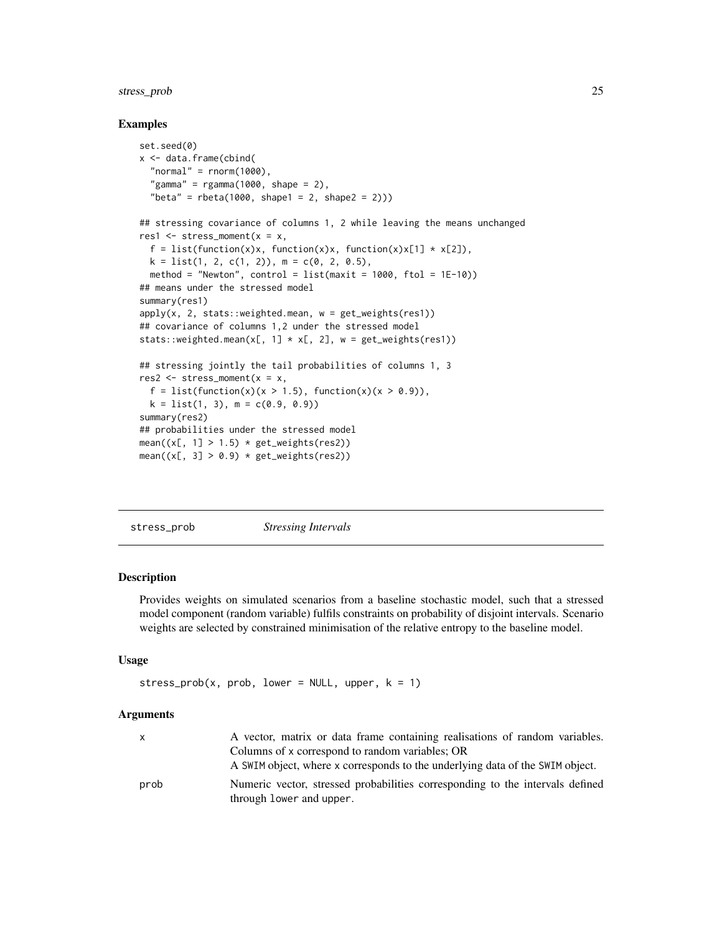# <span id="page-24-0"></span>stress\_prob 25

#### Examples

```
set.seed(0)
x <- data.frame(cbind(
 "normal" = rnorm(1000),
 "gamma" = rgamma(1000, shape = 2),
  "beta" = rbeta(1000, shape1 = 2, shape2 = 2)))## stressing covariance of columns 1, 2 while leaving the means unchanged
res1 \leq stress_moment(x = x,
 f = list(function(x)x, function(x)x, function(x)x[1] * x[2]),k = list(1, 2, c(1, 2)), m = c(0, 2, 0.5),method = "Newton", control = list(maxit = 1000, ftol = 1E-10))
## means under the stressed model
summary(res1)
apply(x, 2, stats::weighted-mean, w = get\_weights(res1))## covariance of columns 1,2 under the stressed model
stats::weighted.mean(x[, 1] \star x[, 2], w = get_weights(res1))
## stressing jointly the tail probabilities of columns 1, 3
res2 \leq stress_moment(x = x,
 f = list(function(x)(x > 1.5), function(x)(x > 0.9)),k = list(1, 3), m = c(0.9, 0.9)summary(res2)
## probabilities under the stressed model
mean((x[, 1] > 1.5) * get\_weights(res2))mean((x[, 3] > 0.9) * get\_weights(res2))
```
<span id="page-24-1"></span>stress\_prob *Stressing Intervals*

# **Description**

Provides weights on simulated scenarios from a baseline stochastic model, such that a stressed model component (random variable) fulfils constraints on probability of disjoint intervals. Scenario weights are selected by constrained minimisation of the relative entropy to the baseline model.

# Usage

```
stress_prob(x, prob, lower = NULL, upper, k = 1)
```
#### Arguments

|      | A vector, matrix or data frame containing realisations of random variables.   |
|------|-------------------------------------------------------------------------------|
|      | Columns of x correspond to random variables; OR                               |
|      | A SWIM object, where x corresponds to the underlying data of the SWIM object. |
| prob | Numeric vector, stressed probabilities corresponding to the intervals defined |
|      | through lower and upper.                                                      |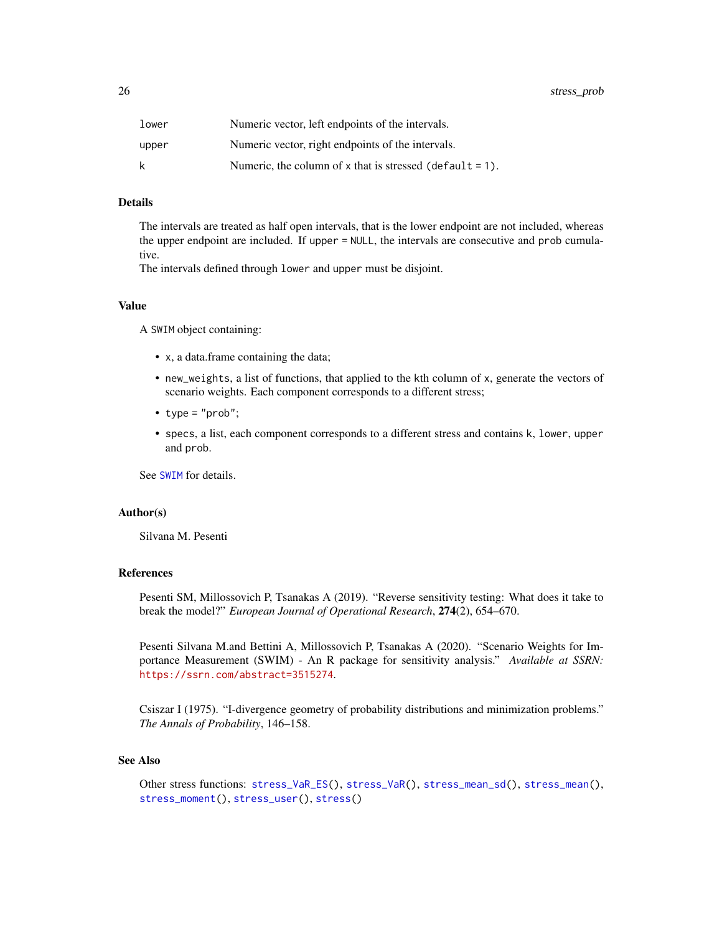<span id="page-25-0"></span>

| lower | Numeric vector, left endpoints of the intervals.         |
|-------|----------------------------------------------------------|
| upper | Numeric vector, right endpoints of the intervals.        |
| k     | Numeric, the column of x that is stressed (default = 1). |

#### Details

The intervals are treated as half open intervals, that is the lower endpoint are not included, whereas the upper endpoint are included. If upper = NULL, the intervals are consecutive and prob cumulative.

The intervals defined through lower and upper must be disjoint.

## Value

A SWIM object containing:

- x, a data.frame containing the data;
- new\_weights, a list of functions, that applied to the kth column of x, generate the vectors of scenario weights. Each component corresponds to a different stress;
- type = "prob";
- specs, a list, each component corresponds to a different stress and contains k, lower, upper and prob.

See [SWIM](#page-33-1) for details.

#### Author(s)

Silvana M. Pesenti

#### References

Pesenti SM, Millossovich P, Tsanakas A (2019). "Reverse sensitivity testing: What does it take to break the model?" *European Journal of Operational Research*, 274(2), 654–670.

Pesenti Silvana M.and Bettini A, Millossovich P, Tsanakas A (2020). "Scenario Weights for Importance Measurement (SWIM) - An R package for sensitivity analysis." *Available at SSRN:* <https://ssrn.com/abstract=3515274>.

Csiszar I (1975). "I-divergence geometry of probability distributions and minimization problems." *The Annals of Probability*, 146–158.

#### See Also

Other stress functions: [stress\\_VaR\\_ES\(](#page-29-1)), [stress\\_VaR\(](#page-27-1)), [stress\\_mean\\_sd\(](#page-20-1)), [stress\\_mean\(](#page-19-1)), [stress\\_moment\(](#page-22-1)), [stress\\_user\(](#page-26-1)), [stress\(](#page-17-1))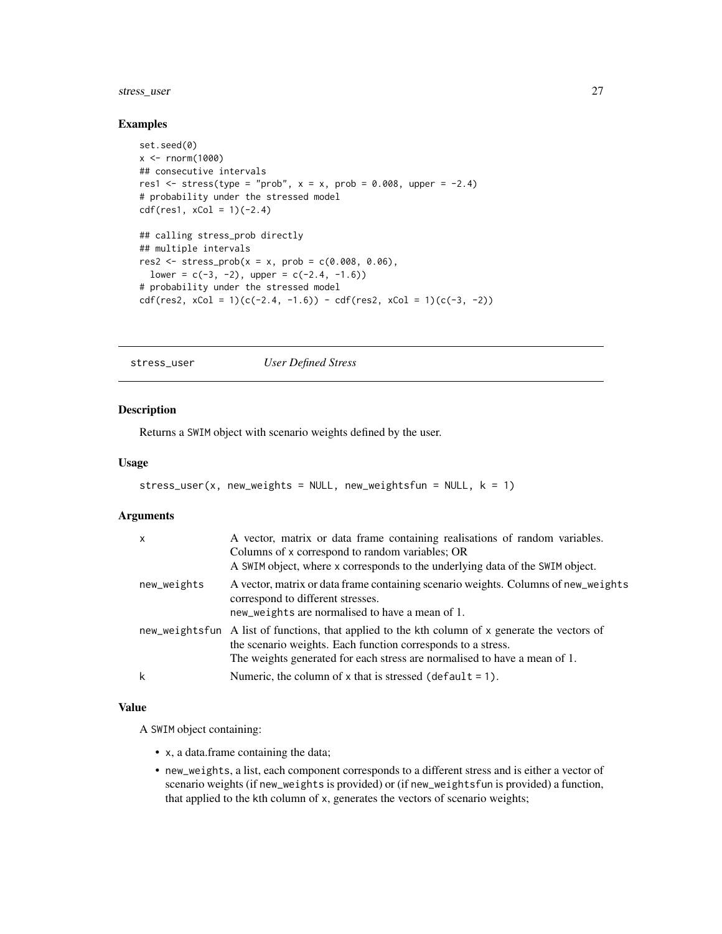# <span id="page-26-0"></span>stress\_user 27

#### Examples

```
set.seed(0)
x <- rnorm(1000)
## consecutive intervals
res1 <- stress(type = "prob", x = x, prob = 0.008, upper = -2.4)
# probability under the stressed model
cdf(res1, xCol = 1)(-2.4)## calling stress_prob directly
## multiple intervals
res2 \leq stress\_prob(x = x, prob = c(0.008, 0.06),lower = c(-3, -2), upper = c(-2.4, -1.6))# probability under the stressed model
cdf(res2, xCol = 1)(c(-2.4, -1.6)) - cdf(res2, xCol = 1)(c(-3, -2))
```
<span id="page-26-1"></span>stress\_user *User Defined Stress*

#### Description

Returns a SWIM object with scenario weights defined by the user.

#### Usage

```
stress_user(x, new_weights = NULL, new_weightsfun = NULL, k = 1)
```
#### Arguments

| X           | A vector, matrix or data frame containing realisations of random variables.<br>Columns of x correspond to random variables; OR<br>A SWIM object, where x corresponds to the underlying data of the SWIM object.                              |
|-------------|----------------------------------------------------------------------------------------------------------------------------------------------------------------------------------------------------------------------------------------------|
| new_weights | A vector, matrix or data frame containing scenario weights. Columns of new_weights<br>correspond to different stresses.<br>new_weights are normalised to have a mean of 1.                                                                   |
|             | new_weightsfun A list of functions, that applied to the kth column of x generate the vectors of<br>the scenario weights. Each function corresponds to a stress.<br>The weights generated for each stress are normalised to have a mean of 1. |
|             | Numeric, the column of x that is stressed (default $= 1$ ).                                                                                                                                                                                  |

# Value

A SWIM object containing:

- x, a data.frame containing the data;
- new\_weights, a list, each component corresponds to a different stress and is either a vector of scenario weights (if new\_weights is provided) or (if new\_weightsfun is provided) a function, that applied to the kth column of x, generates the vectors of scenario weights;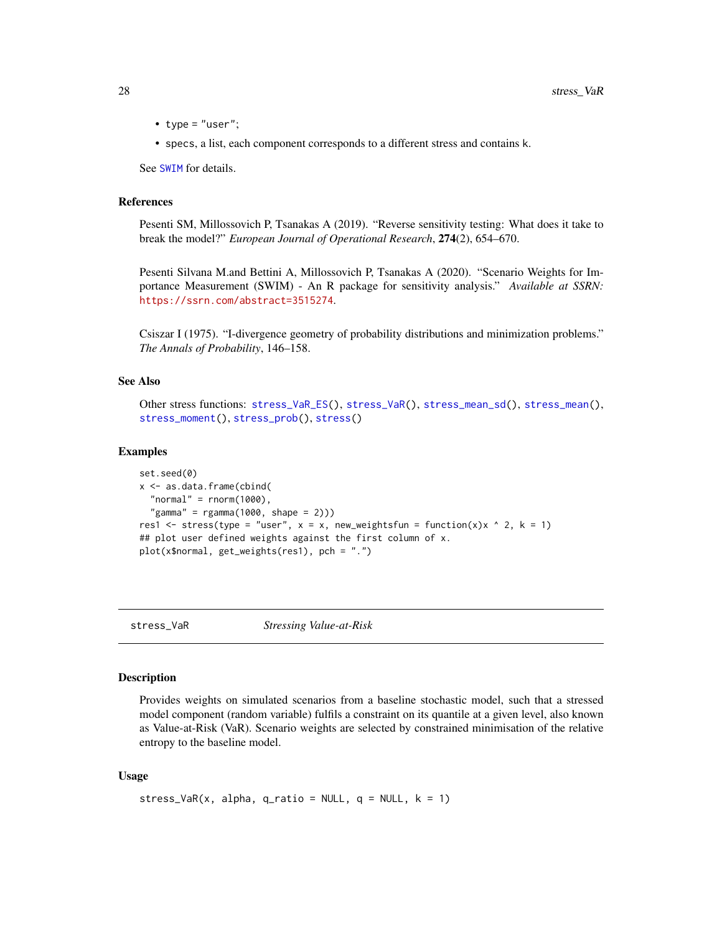- <span id="page-27-0"></span>• type =  $"user";$
- specs, a list, each component corresponds to a different stress and contains k.

See [SWIM](#page-33-1) for details.

### References

Pesenti SM, Millossovich P, Tsanakas A (2019). "Reverse sensitivity testing: What does it take to break the model?" *European Journal of Operational Research*, 274(2), 654–670.

Pesenti Silvana M.and Bettini A, Millossovich P, Tsanakas A (2020). "Scenario Weights for Importance Measurement (SWIM) - An R package for sensitivity analysis." *Available at SSRN:* <https://ssrn.com/abstract=3515274>.

Csiszar I (1975). "I-divergence geometry of probability distributions and minimization problems." *The Annals of Probability*, 146–158.

#### See Also

```
Other stress functions: stress_VaR_ES(), stress_VaR(), stress_mean_sd(), stress_mean(),
stress_moment(), stress_prob(), stress()
```
#### Examples

```
set.seed(0)
x <- as.data.frame(cbind(
  "normal" = rnorm(1000),
  "gamma" = rgamma(1000, shape = 2)))res1 <- stress(type = "user", x = x, new_weightsfun = function(x)x ^ 2, k = 1)
## plot user defined weights against the first column of x.
plot(x$normal, get_weights(res1), pch = ".")
```
<span id="page-27-1"></span>

stress\_VaR *Stressing Value-at-Risk*

#### Description

Provides weights on simulated scenarios from a baseline stochastic model, such that a stressed model component (random variable) fulfils a constraint on its quantile at a given level, also known as Value-at-Risk (VaR). Scenario weights are selected by constrained minimisation of the relative entropy to the baseline model.

#### Usage

```
stress_VaR(x, alpha, q_ratio = NULL, q = NULL, k = 1)
```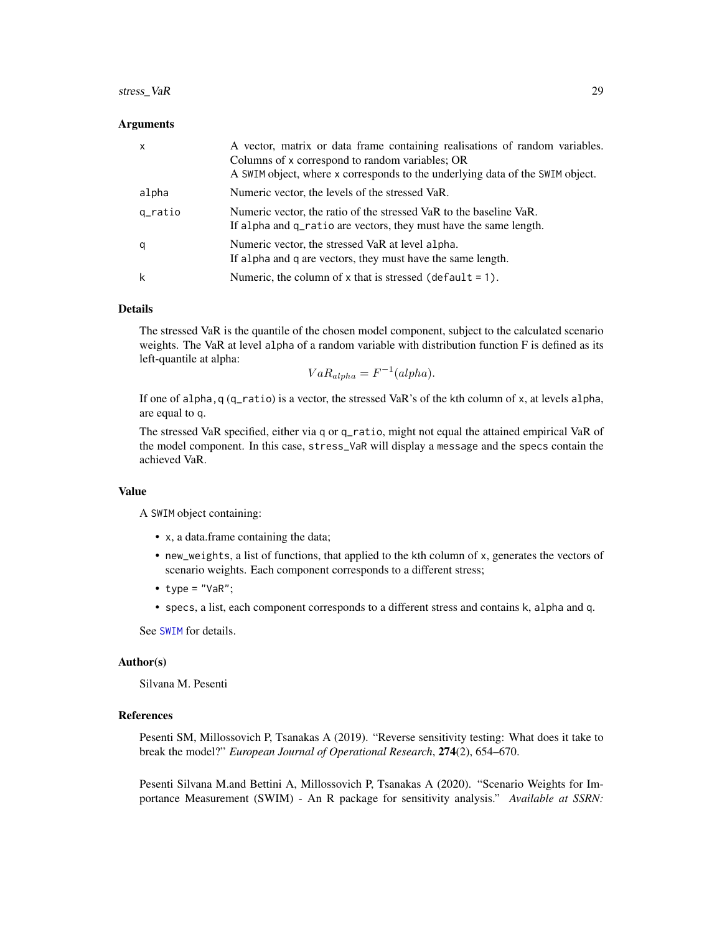# <span id="page-28-0"></span>stress\_VaR 29

#### Arguments

| $\mathsf{x}$ | A vector, matrix or data frame containing realisations of random variables.<br>Columns of x correspond to random variables; OR<br>A SWIM object, where x corresponds to the underlying data of the SWIM object. |
|--------------|-----------------------------------------------------------------------------------------------------------------------------------------------------------------------------------------------------------------|
| alpha        | Numeric vector, the levels of the stressed VaR.                                                                                                                                                                 |
| q_ratio      | Numeric vector, the ratio of the stressed VaR to the baseline VaR.<br>If alpha and q_ratio are vectors, they must have the same length.                                                                         |
| q            | Numeric vector, the stressed VaR at level alpha.<br>If alpha and q are vectors, they must have the same length.                                                                                                 |
| k            | Numeric, the column of $x$ that is stressed (default = 1).                                                                                                                                                      |

#### Details

The stressed VaR is the quantile of the chosen model component, subject to the calculated scenario weights. The VaR at level alpha of a random variable with distribution function F is defined as its left-quantile at alpha:

$$
VaR_{alpha} = F^{-1}(alpha).
$$

If one of alpha, q  $(q$ <sub>ratio</sub>) is a vector, the stressed VaR's of the kth column of x, at levels alpha, are equal to q.

The stressed VaR specified, either via q or q\_ratio, might not equal the attained empirical VaR of the model component. In this case, stress\_VaR will display a message and the specs contain the achieved VaR.

#### Value

A SWIM object containing:

- x, a data.frame containing the data;
- new\_weights, a list of functions, that applied to the kth column of x, generates the vectors of scenario weights. Each component corresponds to a different stress;
- type =  $"VaR"$ ;
- specs, a list, each component corresponds to a different stress and contains k, alpha and q.

See [SWIM](#page-33-1) for details.

#### Author(s)

Silvana M. Pesenti

#### References

Pesenti SM, Millossovich P, Tsanakas A (2019). "Reverse sensitivity testing: What does it take to break the model?" *European Journal of Operational Research*, 274(2), 654–670.

Pesenti Silvana M.and Bettini A, Millossovich P, Tsanakas A (2020). "Scenario Weights for Importance Measurement (SWIM) - An R package for sensitivity analysis." *Available at SSRN:*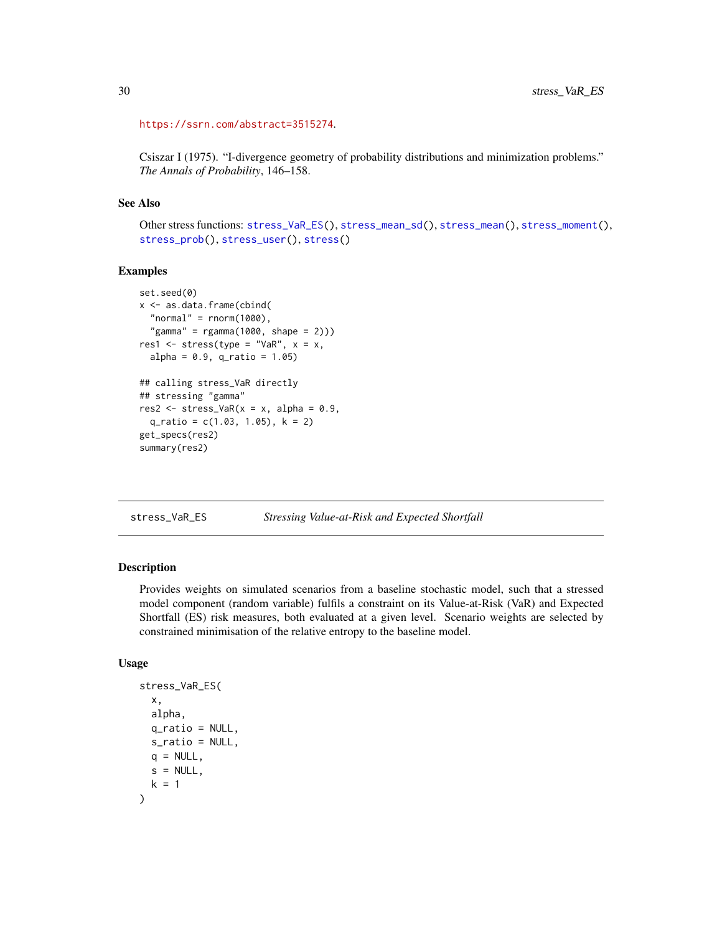```
https://ssrn.com/abstract=3515274.
```
Csiszar I (1975). "I-divergence geometry of probability distributions and minimization problems." *The Annals of Probability*, 146–158.

# See Also

```
Other stress functions: stress_VaR_ES(), stress_mean_sd(), stress_mean(), stress_moment(),
stress_prob(), stress_user(), stress()
```
# Examples

```
set.seed(0)
x <- as.data.frame(cbind(
  "normal" = rnorm(1000),
  "gamma" = rgamma(1000, shape = 2)))res1 <- stress(type = "VaR", x = x,
 alpha = 0.9, q_{ratio} = 1.05)## calling stress_VaR directly
## stressing "gamma"
res2 \le stress_VaR(x = x, alpha = 0.9,
 q_ratio = c(1.03, 1.05), k = 2)
get_specs(res2)
summary(res2)
```
<span id="page-29-1"></span>stress\_VaR\_ES *Stressing Value-at-Risk and Expected Shortfall*

#### Description

Provides weights on simulated scenarios from a baseline stochastic model, such that a stressed model component (random variable) fulfils a constraint on its Value-at-Risk (VaR) and Expected Shortfall (ES) risk measures, both evaluated at a given level. Scenario weights are selected by constrained minimisation of the relative entropy to the baseline model.

#### Usage

```
stress_VaR_ES(
  x,
  alpha,
  q_ratio = NULL,
  s_ratio = NULL,
 q = NULL,
  s = NULL,k = 1)
```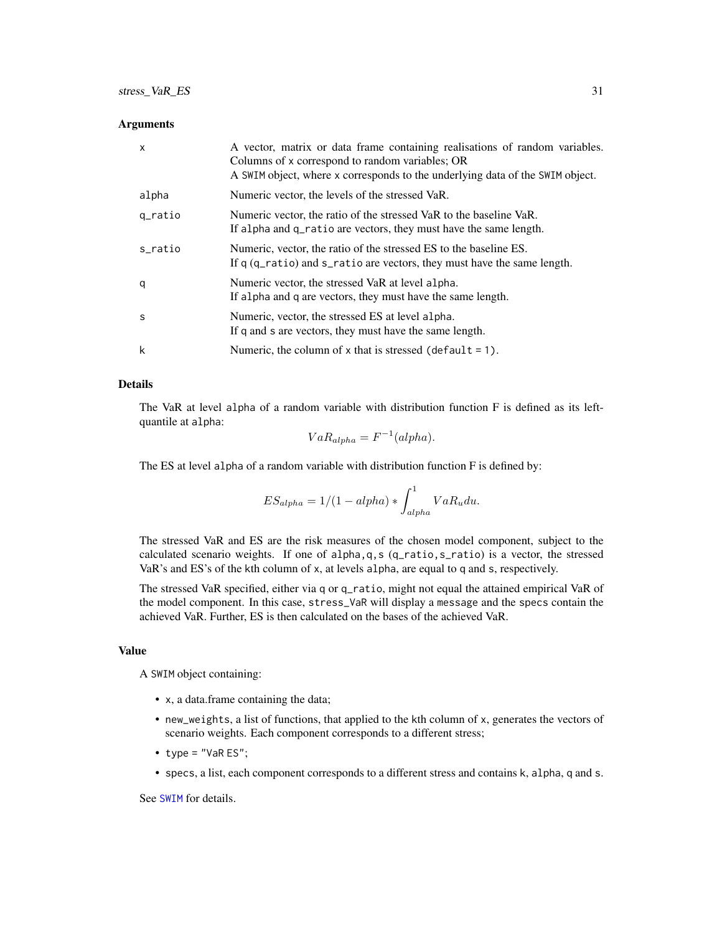#### <span id="page-30-0"></span>**Arguments**

| X       | A vector, matrix or data frame containing realisations of random variables.<br>Columns of x correspond to random variables; OR<br>A SWIM object, where x corresponds to the underlying data of the SWIM object. |
|---------|-----------------------------------------------------------------------------------------------------------------------------------------------------------------------------------------------------------------|
| alpha   | Numeric vector, the levels of the stressed VaR.                                                                                                                                                                 |
| q_ratio | Numeric vector, the ratio of the stressed VaR to the baseline VaR.<br>If alpha and q_ratio are vectors, they must have the same length.                                                                         |
| s ratio | Numeric, vector, the ratio of the stressed ES to the baseline ES.<br>If q (q_ratio) and s_ratio are vectors, they must have the same length.                                                                    |
| q       | Numeric vector, the stressed VaR at level alpha.<br>If alpha and q are vectors, they must have the same length.                                                                                                 |
| s       | Numeric, vector, the stressed ES at level alpha.<br>If q and s are vectors, they must have the same length.                                                                                                     |
| k       | Numeric, the column of $x$ that is stressed (default = 1).                                                                                                                                                      |

# Details

The VaR at level alpha of a random variable with distribution function F is defined as its leftquantile at alpha:

$$
VaR_{alpha} = F^{-1}(alpha).
$$

The ES at level alpha of a random variable with distribution function F is defined by:

$$
ES_{alpha} = 1/(1 - alpha) * \int_{alpha}^{1} VaR_u du.
$$

The stressed VaR and ES are the risk measures of the chosen model component, subject to the calculated scenario weights. If one of alpha,q,s (q\_ratio,s\_ratio) is a vector, the stressed VaR's and ES's of the kth column of x, at levels alpha, are equal to q and s, respectively.

The stressed VaR specified, either via q or q\_ratio, might not equal the attained empirical VaR of the model component. In this case, stress\_VaR will display a message and the specs contain the achieved VaR. Further, ES is then calculated on the bases of the achieved VaR.

#### Value

A SWIM object containing:

- x, a data.frame containing the data;
- new\_weights, a list of functions, that applied to the kth column of x, generates the vectors of scenario weights. Each component corresponds to a different stress;
- type =  $"$ VaR ES";
- specs, a list, each component corresponds to a different stress and contains k, alpha, q and s.

See [SWIM](#page-33-1) for details.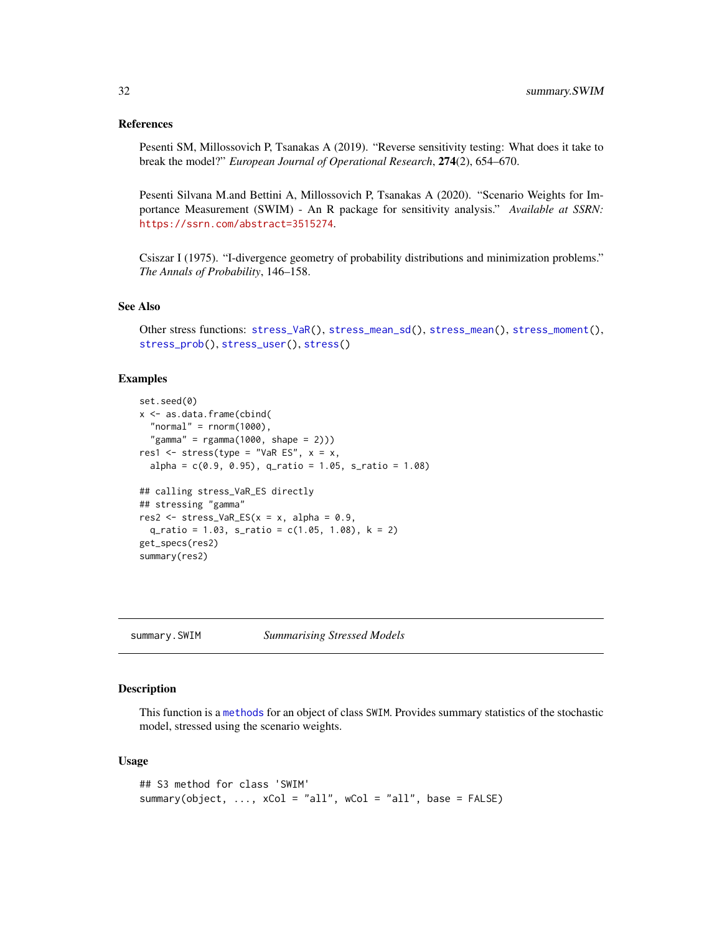#### <span id="page-31-0"></span>References

Pesenti SM, Millossovich P, Tsanakas A (2019). "Reverse sensitivity testing: What does it take to break the model?" *European Journal of Operational Research*, 274(2), 654–670.

Pesenti Silvana M.and Bettini A, Millossovich P, Tsanakas A (2020). "Scenario Weights for Importance Measurement (SWIM) - An R package for sensitivity analysis." *Available at SSRN:* <https://ssrn.com/abstract=3515274>.

Csiszar I (1975). "I-divergence geometry of probability distributions and minimization problems." *The Annals of Probability*, 146–158.

# See Also

Other stress functions: [stress\\_VaR\(](#page-27-1)), [stress\\_mean\\_sd\(](#page-20-1)), [stress\\_mean\(](#page-19-1)), [stress\\_moment\(](#page-22-1)), [stress\\_prob\(](#page-24-1)), [stress\\_user\(](#page-26-1)), [stress\(](#page-17-1))

## Examples

```
set.seed(0)
x <- as.data.frame(cbind(
  "normal" = rnorm(1000),
  "gamma" = rgamma(1000, shape = 2)))res1 <- stress(type = "VaR ES", x = x,
  alpha = c(0.9, 0.95), q_ratio = 1.05, s_ratio = 1.08)
## calling stress_VaR_ES directly
## stressing "gamma"
res2 <- stress_VaR_ES(x = x, alpha = 0.9,
  q<sub>ratio</sub> = 1.03, s<sub>ratio</sub> = c(1.05, 1.08), k = 2)
get_specs(res2)
summary(res2)
```
summary.SWIM *Summarising Stressed Models*

# Description

This function is a [methods](#page-0-0) for an object of class SWIM. Provides summary statistics of the stochastic model, stressed using the scenario weights.

#### Usage

```
## S3 method for class 'SWIM'
summary(object, \ldots, xCol = "all", wCol = "all", base = FALSE)
```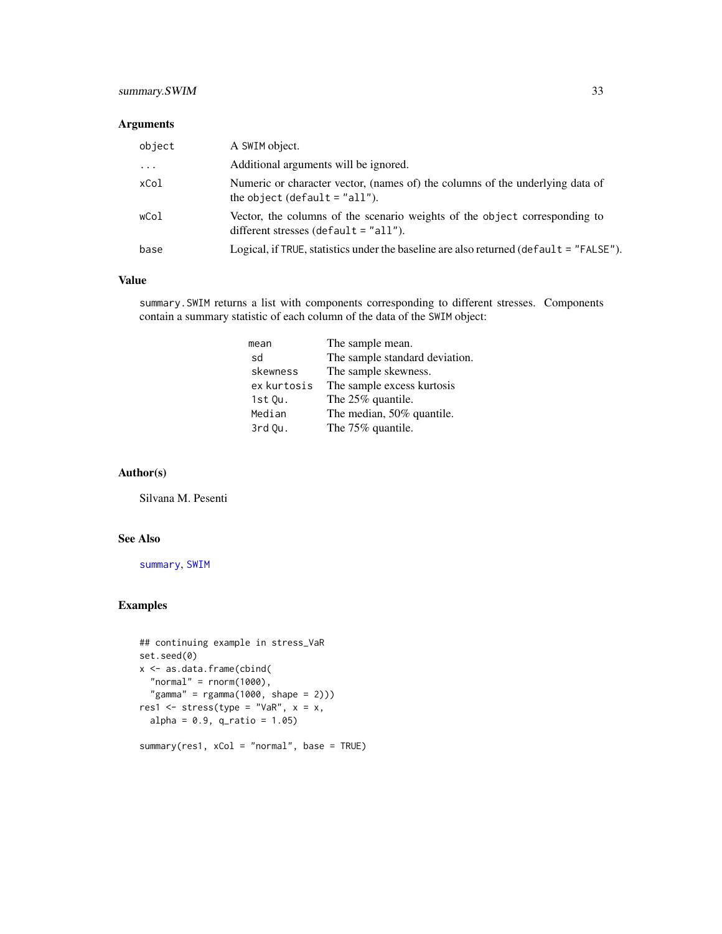# <span id="page-32-0"></span>summary.SWIM 33

# Arguments

| object | A SWIM object.                                                                                                        |
|--------|-----------------------------------------------------------------------------------------------------------------------|
| .      | Additional arguments will be ignored.                                                                                 |
| xCol   | Numeric or character vector, (names of) the columns of the underlying data of<br>the object (default $=$ "all").      |
| wCol   | Vector, the columns of the scenario weights of the object corresponding to<br>different stresses (default $=$ "all"). |
| base   | Logical, if TRUE, statistics under the baseline are also returned (default = "FALSE").                                |

#### Value

summary.SWIM returns a list with components corresponding to different stresses. Components contain a summary statistic of each column of the data of the SWIM object:

| mean        | The sample mean.               |
|-------------|--------------------------------|
| sd          | The sample standard deviation. |
| skewness    | The sample skewness.           |
| ex kurtosis | The sample excess kurtosis     |
| $1st$ Ou.   | The 25% quantile.              |
| Median      | The median, 50% quantile.      |
| 3rd Ou.     | The 75% quantile.              |

# Author(s)

Silvana M. Pesenti

# See Also

[summary](#page-0-0), [SWIM](#page-33-1)

#### Examples

```
## continuing example in stress_VaR
set.seed(0)
x <- as.data.frame(cbind(
  "normal" = rnorm(1000),
  "gamma" = rgamma(1000, shape = 2)))res1 <- stress(type = "VaR", x = x,
  alpha = 0.9, q-ratio = 1.05)
summary(res1, xCol = "normal", base = TRUE)
```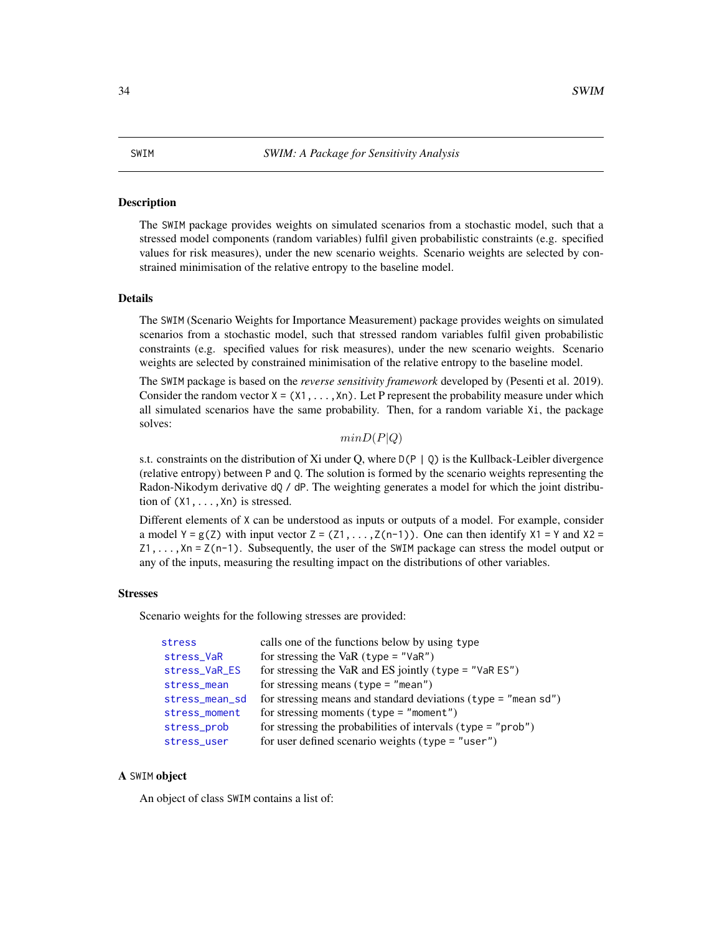#### <span id="page-33-1"></span><span id="page-33-0"></span>Description

The SWIM package provides weights on simulated scenarios from a stochastic model, such that a stressed model components (random variables) fulfil given probabilistic constraints (e.g. specified values for risk measures), under the new scenario weights. Scenario weights are selected by constrained minimisation of the relative entropy to the baseline model.

#### Details

The SWIM (Scenario Weights for Importance Measurement) package provides weights on simulated scenarios from a stochastic model, such that stressed random variables fulfil given probabilistic constraints (e.g. specified values for risk measures), under the new scenario weights. Scenario weights are selected by constrained minimisation of the relative entropy to the baseline model.

The SWIM package is based on the *reverse sensitivity framework* developed by (Pesenti et al. 2019). Consider the random vector  $X = (X1, \ldots, Xn)$ . Let P represent the probability measure under which all simulated scenarios have the same probability. Then, for a random variable Xi, the package solves:

 $minD(P|Q)$ 

s.t. constraints on the distribution of Xi under Q, where  $D(P | Q)$  is the Kullback-Leibler divergence (relative entropy) between P and Q. The solution is formed by the scenario weights representing the Radon-Nikodym derivative dQ / dP. The weighting generates a model for which the joint distribution of  $(X1, \ldots, Xn)$  is stressed.

Different elements of X can be understood as inputs or outputs of a model. For example, consider a model  $Y = g(Z)$  with input vector  $Z = (Z1, \ldots, Z(n-1))$ . One can then identify  $X1 = Y$  and  $X2 =$  $Z_1, \ldots, X_n = Z(n-1)$ . Subsequently, the user of the SWIM package can stress the model output or any of the inputs, measuring the resulting impact on the distributions of other variables.

#### Stresses

Scenario weights for the following stresses are provided:

| stress         | calls one of the functions below by using type                   |
|----------------|------------------------------------------------------------------|
| stress_VaR     | for stressing the VaR $(type = "VaR")$                           |
| stress_VaR_ES  | for stressing the VaR and ES jointly (type = $"$ VaR ES")        |
| stress_mean    | for stressing means (type = $"mean")$                            |
| stress_mean_sd | for stressing means and standard deviations (type $=$ "mean sd") |
| stress_moment  | for stressing moments (type = $"moment"$ )                       |
| stress_prob    | for stressing the probabilities of intervals $(type = "prob")$   |
| stress_user    | for user defined scenario weights (type = "user")                |

#### A SWIM object

An object of class SWIM contains a list of: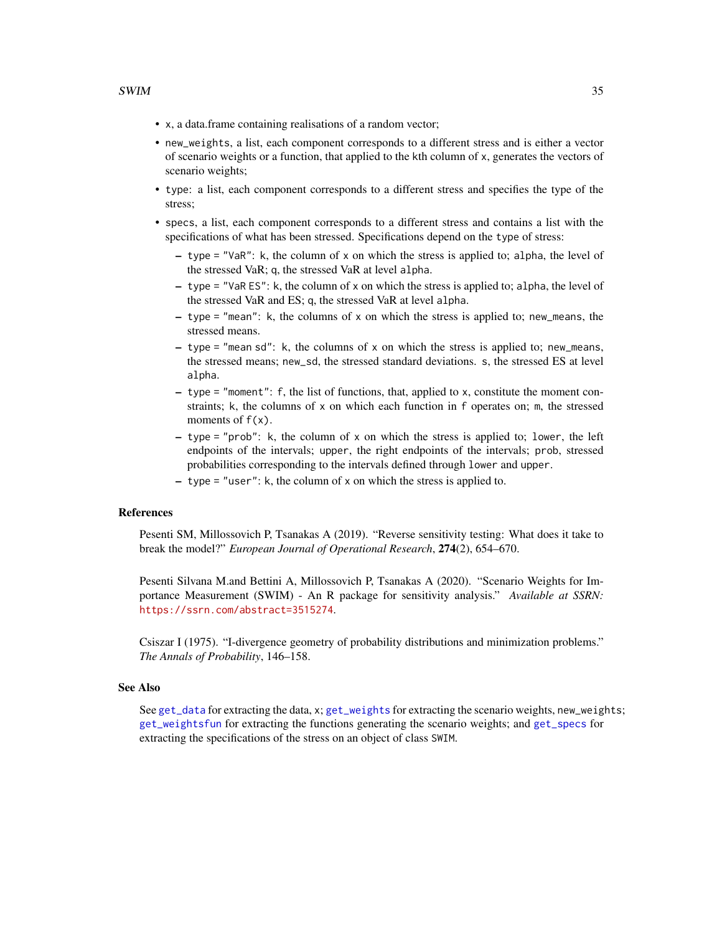- <span id="page-34-0"></span>• x, a data.frame containing realisations of a random vector;
- new\_weights, a list, each component corresponds to a different stress and is either a vector of scenario weights or a function, that applied to the kth column of x, generates the vectors of scenario weights;
- type: a list, each component corresponds to a different stress and specifies the type of the stress;
- specs, a list, each component corresponds to a different stress and contains a list with the specifications of what has been stressed. Specifications depend on the type of stress:
	- type = "VaR": k, the column of x on which the stress is applied to; alpha, the level of the stressed VaR; q, the stressed VaR at level alpha.
	- type = "VaR ES": k, the column of x on which the stress is applied to; alpha, the level of the stressed VaR and ES; q, the stressed VaR at level alpha.
	- $-$  type = "mean": k, the columns of x on which the stress is applied to; new means, the stressed means.
	- $-$  type = "mean sd": k, the columns of x on which the stress is applied to; new\_means, the stressed means; new\_sd, the stressed standard deviations. s, the stressed ES at level alpha.
	- type = "moment": f, the list of functions, that, applied to x, constitute the moment constraints; k, the columns of x on which each function in f operates on; m, the stressed moments of  $f(x)$ .
	- $-$  type = "prob": k, the column of x on which the stress is applied to; lower, the left endpoints of the intervals; upper, the right endpoints of the intervals; prob, stressed probabilities corresponding to the intervals defined through lower and upper.
	- type = "user": k, the column of x on which the stress is applied to.

#### References

Pesenti SM, Millossovich P, Tsanakas A (2019). "Reverse sensitivity testing: What does it take to break the model?" *European Journal of Operational Research*, 274(2), 654–670.

Pesenti Silvana M.and Bettini A, Millossovich P, Tsanakas A (2020). "Scenario Weights for Importance Measurement (SWIM) - An R package for sensitivity analysis." *Available at SSRN:* <https://ssrn.com/abstract=3515274>.

Csiszar I (1975). "I-divergence geometry of probability distributions and minimization problems." *The Annals of Probability*, 146–158.

#### See Also

See [get\\_data](#page-5-2) for extracting the data, x; [get\\_weights](#page-5-1) for extracting the scenario weights, new\_weights; [get\\_weightsfun](#page-5-1) for extracting the functions generating the scenario weights; and [get\\_specs](#page-5-1) for extracting the specifications of the stress on an object of class SWIM.